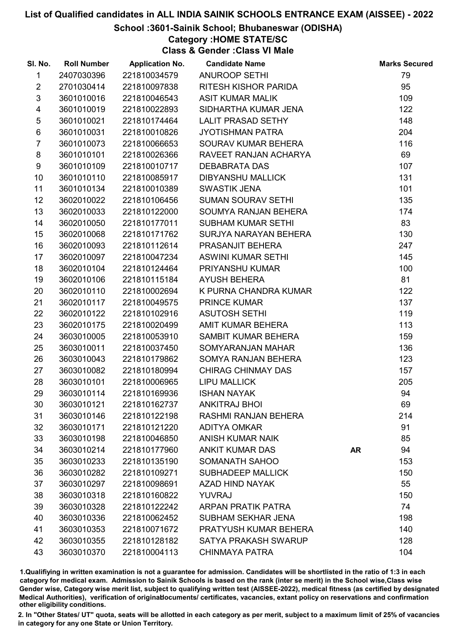## School :3601-Sainik School; Bhubaneswar (ODISHA)

## Category :HOME STATE/SC

Class & Gender :Class VI Male

| SI. No.                 | <b>Roll Number</b> | <b>Application No.</b> | <b>Candidate Name</b>        |           | <b>Marks Secured</b> |
|-------------------------|--------------------|------------------------|------------------------------|-----------|----------------------|
| $\mathbf{1}$            | 2407030396         | 221810034579           | <b>ANUROOP SETHI</b>         |           | 79                   |
| $\overline{2}$          | 2701030414         | 221810097838           | RITESH KISHOR PARIDA         |           | 95                   |
| $\mathfrak{S}$          | 3601010016         | 221810046543           | <b>ASIT KUMAR MALIK</b>      |           | 109                  |
| $\overline{\mathbf{4}}$ | 3601010019         | 221810022893           | SIDHARTHA KUMAR JENA         |           | 122                  |
| $\sqrt{5}$              | 3601010021         | 221810174464           | <b>LALIT PRASAD SETHY</b>    |           | 148                  |
| $\,6\,$                 | 3601010031         | 221810010826           | <b>JYOTISHMAN PATRA</b>      |           | 204                  |
| $\overline{7}$          | 3601010073         | 221810066653           | SOURAV KUMAR BEHERA          |           | 116                  |
| 8                       | 3601010101         | 221810026366           | RAVEET RANJAN ACHARYA        |           | 69                   |
| 9                       | 3601010109         | 221810010717           | <b>DEBABRATA DAS</b>         |           | 107                  |
| 10                      | 3601010110         | 221810085917           | <b>DIBYANSHU MALLICK</b>     |           | 131                  |
| 11                      | 3601010134         | 221810010389           | <b>SWASTIK JENA</b>          |           | 101                  |
| 12                      | 3602010022         | 221810106456           | <b>SUMAN SOURAV SETHI</b>    |           | 135                  |
| 13                      | 3602010033         | 221810122000           | SOUMYA RANJAN BEHERA         |           | 174                  |
| 14                      | 3602010050         | 221810177011           | <b>SUBHAM KUMAR SETHI</b>    |           | 83                   |
| 15                      | 3602010068         | 221810171762           | SURJYA NARAYAN BEHERA        |           | 130                  |
| 16                      | 3602010093         | 221810112614           | PRASANJIT BEHERA             |           | 247                  |
| 17                      | 3602010097         | 221810047234           | ASWINI KUMAR SETHI           |           | 145                  |
| 18                      | 3602010104         | 221810124464           | PRIYANSHU KUMAR              |           | 100                  |
| 19                      | 3602010106         | 221810115184           | <b>AYUSH BEHERA</b>          |           | 81                   |
| 20                      | 3602010110         | 221810002694           | K PURNA CHANDRA KUMAR        |           | 122                  |
| 21                      | 3602010117         | 221810049575           | PRINCE KUMAR                 |           | 137                  |
| 22                      | 3602010122         | 221810102916           | <b>ASUTOSH SETHI</b>         |           | 119                  |
| 23                      | 3602010175         | 221810020499           | AMIT KUMAR BEHERA            |           | 113                  |
| 24                      | 3603010005         | 221810053910           | SAMBIT KUMAR BEHERA          |           | 159                  |
| 25                      | 3603010011         | 221810037450           | SOMYARANJAN MAHAR            |           | 136                  |
| 26                      | 3603010043         | 221810179862           | SOMYA RANJAN BEHERA          |           | 123                  |
| 27                      | 3603010082         | 221810180994           | <b>CHIRAG CHINMAY DAS</b>    |           | 157                  |
| 28                      | 3603010101         | 221810006965           | <b>LIPU MALLICK</b>          |           | 205                  |
| 29                      | 3603010114         | 221810169936           | <b>ISHAN NAYAK</b>           |           | 94                   |
| 30                      | 3603010121         | 221810162737           | <b>ANKITRAJ BHOI</b>         |           | 69                   |
| 31                      | 3603010146         | 221810122198           | RASHMI RANJAN BEHERA         |           | 214                  |
| 32                      | 3603010171         | 221810121220           | <b>ADITYA OMKAR</b>          |           | 91                   |
| 33                      | 3603010198         | 221810046850           | <b>ANISH KUMAR NAIK</b>      |           | 85                   |
| 34                      | 3603010214         | 221810177960           | <b>ANKIT KUMAR DAS</b>       | <b>AR</b> | 94                   |
| 35                      | 3603010233         | 221810135190           | SOMANATH SAHOO               |           | 153                  |
| 36                      | 3603010282         | 221810109271           | <b>SUBHADEEP MALLICK</b>     |           | 150                  |
| 37                      | 3603010297         | 221810098691           | AZAD HIND NAYAK              |           | 55                   |
| 38                      | 3603010318         | 221810160822           | <b>YUVRAJ</b>                |           | 150                  |
| 39                      | 3603010328         | 221810122242           | <b>ARPAN PRATIK PATRA</b>    |           | 74                   |
| 40                      | 3603010336         | 221810062452           | <b>SUBHAM SEKHAR JENA</b>    |           | 198                  |
| 41                      | 3603010353         | 221810071672           | <b>PRATYUSH KUMAR BEHERA</b> |           | 140                  |
| 42                      | 3603010355         | 221810128182           | SATYA PRAKASH SWARUP         |           | 128                  |
| 43                      | 3603010370         | 221810004113           | <b>CHINMAYA PATRA</b>        |           | 104                  |

1.Qualifiying in written examination is not a guarantee for admission. Candidates will be shortlisted in the ratio of 1:3 in each category for medical exam. Admission to Sainik Schools is based on the rank (inter se merit) in the School wise,Class wise Gender wise, Category wise merit list, subject to qualifying written test (AISSEE-2022), medical fitness (as certified by designated Medical Authorities), verification of originablocuments/ certificates, vacancies, extant policy on reservations and confirmation other eligibility conditions.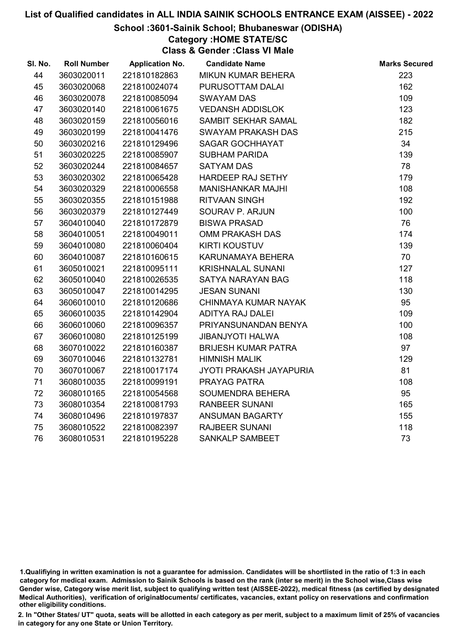### School :3601-Sainik School; Bhubaneswar (ODISHA)

## Category :HOME STATE/SC

Class & Gender :Class VI Male

| SI. No. | <b>Roll Number</b> | <b>Application No.</b> | <b>Candidate Name</b>          | <b>Marks Secured</b> |
|---------|--------------------|------------------------|--------------------------------|----------------------|
| 44      | 3603020011         | 221810182863           | MIKUN KUMAR BEHERA             | 223                  |
| 45      | 3603020068         | 221810024074           | PURUSOTTAM DALAI               | 162                  |
| 46      | 3603020078         | 221810085094           | <b>SWAYAM DAS</b>              | 109                  |
| 47      | 3603020140         | 221810061675           | <b>VEDANSH ADDISLOK</b>        | 123                  |
| 48      | 3603020159         | 221810056016           | SAMBIT SEKHAR SAMAL            | 182                  |
| 49      | 3603020199         | 221810041476           | <b>SWAYAM PRAKASH DAS</b>      | 215                  |
| 50      | 3603020216         | 221810129496           | SAGAR GOCHHAYAT                | 34                   |
| 51      | 3603020225         | 221810085907           | <b>SUBHAM PARIDA</b>           | 139                  |
| 52      | 3603020244         | 221810084657           | <b>SATYAM DAS</b>              | 78                   |
| 53      | 3603020302         | 221810065428           | HARDEEP RAJ SETHY              | 179                  |
| 54      | 3603020329         | 221810006558           | <b>MANISHANKAR MAJHI</b>       | 108                  |
| 55      | 3603020355         | 221810151988           | <b>RITVAAN SINGH</b>           | 192                  |
| 56      | 3603020379         | 221810127449           | SOURAV P. ARJUN                | 100                  |
| 57      | 3604010040         | 221810172879           | <b>BISWA PRASAD</b>            | 76                   |
| 58      | 3604010051         | 221810049011           | <b>OMM PRAKASH DAS</b>         | 174                  |
| 59      | 3604010080         | 221810060404           | <b>KIRTI KOUSTUV</b>           | 139                  |
| 60      | 3604010087         | 221810160615           | KARUNAMAYA BEHERA              | 70                   |
| 61      | 3605010021         | 221810095111           | <b>KRISHNALAL SUNANI</b>       | 127                  |
| 62      | 3605010040         | 221810026535           | SATYA NARAYAN BAG              | 118                  |
| 63      | 3605010047         | 221810014295           | <b>JESAN SUNANI</b>            | 130                  |
| 64      | 3606010010         | 221810120686           | CHINMAYA KUMAR NAYAK           | 95                   |
| 65      | 3606010035         | 221810142904           | <b>ADITYA RAJ DALEI</b>        | 109                  |
| 66      | 3606010060         | 221810096357           | PRIYANSUNANDAN BENYA           | 100                  |
| 67      | 3606010080         | 221810125199           | <b>JIBANJYOTI HALWA</b>        | 108                  |
| 68      | 3607010022         | 221810160387           | <b>BRIJESH KUMAR PATRA</b>     | 97                   |
| 69      | 3607010046         | 221810132781           | <b>HIMNISH MALIK</b>           | 129                  |
| 70      | 3607010067         | 221810017174           | <b>JYOTI PRAKASH JAYAPURIA</b> | 81                   |
| 71      | 3608010035         | 221810099191           | PRAYAG PATRA                   | 108                  |
| 72      | 3608010165         | 221810054568           | SOUMENDRA BEHERA               | 95                   |
| 73      | 3608010354         | 221810081793           | <b>RANBEER SUNANI</b>          | 165                  |
| 74      | 3608010496         | 221810197837           | ANSUMAN BAGARTY                | 155                  |
| 75      | 3608010522         | 221810082397           | <b>RAJBEER SUNANI</b>          | 118                  |
| 76      | 3608010531         | 221810195228           | SANKALP SAMBEET                | 73                   |

<sup>1.</sup>Qualifiying in written examination is not a guarantee for admission. Candidates will be shortlisted in the ratio of 1:3 in each category for medical exam. Admission to Sainik Schools is based on the rank (inter se merit) in the School wise,Class wise Gender wise, Category wise merit list, subject to qualifying written test (AISSEE-2022), medical fitness (as certified by designated Medical Authorities), verification of originablocuments/ certificates, vacancies, extant policy on reservations and confirmation other eligibility conditions.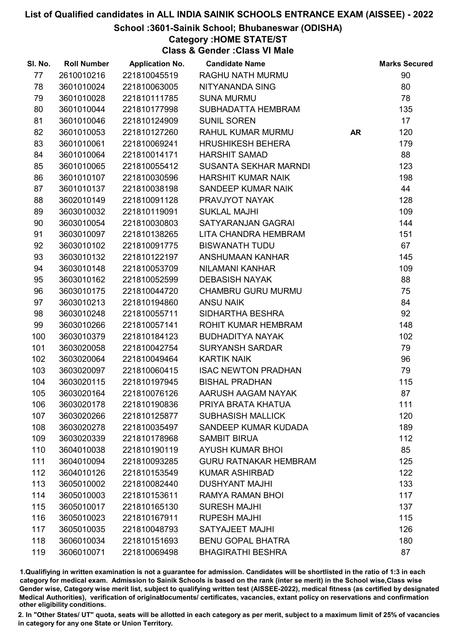School :3601-Sainik School; Bhubaneswar (ODISHA)

## Category :HOME STATE/ST

Class & Gender :Class VI Male

| SI. No. | <b>Roll Number</b> | <b>Application No.</b> | <b>Candidate Name</b>        |           | <b>Marks Secured</b> |
|---------|--------------------|------------------------|------------------------------|-----------|----------------------|
| 77      | 2610010216         | 221810045519           | RAGHU NATH MURMU             |           | 90                   |
| 78      | 3601010024         | 221810063005           | NITYANANDA SING              |           | 80                   |
| 79      | 3601010028         | 221810111785           | <b>SUNA MURMU</b>            |           | 78                   |
| 80      | 3601010044         | 221810177998           | SUBHADATTA HEMBRAM           |           | 135                  |
| 81      | 3601010046         | 221810124909           | <b>SUNIL SOREN</b>           |           | 17                   |
| 82      | 3601010053         | 221810127260           | RAHUL KUMAR MURMU            | <b>AR</b> | 120                  |
| 83      | 3601010061         | 221810069241           | <b>HRUSHIKESH BEHERA</b>     |           | 179                  |
| 84      | 3601010064         | 221810014171           | <b>HARSHIT SAMAD</b>         |           | 88                   |
| 85      | 3601010065         | 221810055412           | SUSANTA SEKHAR MARNDI        |           | 123                  |
| 86      | 3601010107         | 221810030596           | <b>HARSHIT KUMAR NAIK</b>    |           | 198                  |
| 87      | 3601010137         | 221810038198           | SANDEEP KUMAR NAIK           |           | 44                   |
| 88      | 3602010149         | 221810091128           | PRAVJYOT NAYAK               |           | 128                  |
| 89      | 3603010032         | 221810119091           | <b>SUKLAL MAJHI</b>          |           | 109                  |
| 90      | 3603010054         | 221810030803           | SATYARANJAN GAGRAI           |           | 144                  |
| 91      | 3603010097         | 221810138265           | LITA CHANDRA HEMBRAM         |           | 151                  |
| 92      | 3603010102         | 221810091775           | <b>BISWANATH TUDU</b>        |           | 67                   |
| 93      | 3603010132         | 221810122197           | ANSHUMAAN KANHAR             |           | 145                  |
| 94      | 3603010148         | 221810053709           | NILAMANI KANHAR              |           | 109                  |
| 95      | 3603010162         | 221810052599           | <b>DEBASISH NAYAK</b>        |           | 88                   |
| 96      | 3603010175         | 221810044720           | CHAMBRU GURU MURMU           |           | 75                   |
| 97      | 3603010213         | 221810194860           | <b>ANSU NAIK</b>             |           | 84                   |
| 98      | 3603010248         | 221810055711           | SIDHARTHA BESHRA             |           | 92                   |
| 99      | 3603010266         | 221810057141           | ROHIT KUMAR HEMBRAM          |           | 148                  |
| 100     | 3603010379         | 221810184123           | <b>BUDHADITYA NAYAK</b>      |           | 102                  |
| 101     | 3603020058         | 221810042754           | <b>SURYANSH SARDAR</b>       |           | 79                   |
| 102     | 3603020064         | 221810049464           | <b>KARTIK NAIK</b>           |           | 96                   |
| 103     | 3603020097         | 221810060415           | <b>ISAC NEWTON PRADHAN</b>   |           | 79                   |
| 104     | 3603020115         | 221810197945           | <b>BISHAL PRADHAN</b>        |           | 115                  |
| 105     | 3603020164         | 221810076126           | AARUSH AAGAM NAYAK           |           | 87                   |
| 106     | 3603020178         | 221810190836           | PRIYA BRATA KHATUA           |           | 111                  |
| 107     | 3603020266         | 221810125877           | <b>SUBHASISH MALLICK</b>     |           | 120                  |
| 108     | 3603020278         | 221810035497           | SANDEEP KUMAR KUDADA         |           | 189                  |
| 109     | 3603020339         | 221810178968           | <b>SAMBIT BIRUA</b>          |           | 112                  |
| 110     | 3604010038         | 221810190119           | <b>AYUSH KUMAR BHOI</b>      |           | 85                   |
| 111     | 3604010094         | 221810093285           | <b>GURU RATNAKAR HEMBRAM</b> |           | 125                  |
| 112     | 3604010126         | 221810153549           | <b>KUMAR ASHIRBAD</b>        |           | 122                  |
| 113     | 3605010002         | 221810082440           | <b>DUSHYANT MAJHI</b>        |           | 133                  |
| 114     | 3605010003         | 221810153611           | RAMYA RAMAN BHOI             |           | 117                  |
| 115     | 3605010017         | 221810165130           | <b>SURESH MAJHI</b>          |           | 137                  |
| 116     | 3605010023         | 221810167911           | <b>RUPESH MAJHI</b>          |           | 115                  |
| 117     | 3605010035         | 221810048793           | SATYAJEET MAJHI              |           | 126                  |
| 118     | 3606010034         | 221810151693           | <b>BENU GOPAL BHATRA</b>     |           | 180                  |
| 119     | 3606010071         | 221810069498           | <b>BHAGIRATHI BESHRA</b>     |           | 87                   |

1.Qualifiying in written examination is not a guarantee for admission. Candidates will be shortlisted in the ratio of 1:3 in each category for medical exam. Admission to Sainik Schools is based on the rank (inter se merit) in the School wise,Class wise Gender wise, Category wise merit list, subject to qualifying written test (AISSEE-2022), medical fitness (as certified by designated Medical Authorities), verification of originablocuments/ certificates, vacancies, extant policy on reservations and confirmation other eligibility conditions.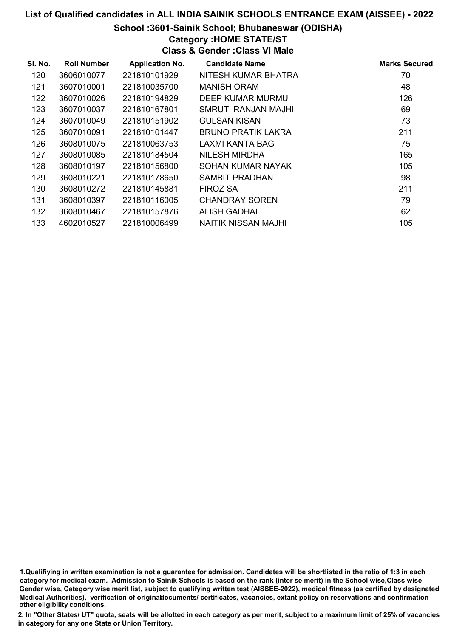### School :3601-Sainik School; Bhubaneswar (ODISHA)

## Category :HOME STATE/ST

Class & Gender :Class VI Male

| SI. No. | <b>Roll Number</b> | <b>Application No.</b> | <b>Candidate Name</b>      | <b>Marks Secured</b> |
|---------|--------------------|------------------------|----------------------------|----------------------|
| 120     | 3606010077         | 221810101929           | NITESH KUMAR BHATRA        | 70                   |
| 121     | 3607010001         | 221810035700           | <b>MANISH ORAM</b>         | 48                   |
| 122     | 3607010026         | 221810194829           | DEEP KUMAR MURMU           | 126                  |
| 123     | 3607010037         | 221810167801           | <b>SMRUTI RANJAN MAJHI</b> | 69                   |
| 124     | 3607010049         | 221810151902           | <b>GULSAN KISAN</b>        | 73                   |
| 125     | 3607010091         | 221810101447           | <b>BRUNO PRATIK LAKRA</b>  | 211                  |
| 126     | 3608010075         | 221810063753           | LAXMI KANTA BAG            | 75                   |
| 127     | 3608010085         | 221810184504           | <b>NILESH MIRDHA</b>       | 165                  |
| 128     | 3608010197         | 221810156800           | SOHAN KUMAR NAYAK          | 105                  |
| 129     | 3608010221         | 221810178650           | SAMBIT PRADHAN             | 98                   |
| 130     | 3608010272         | 221810145881           | <b>FIROZ SA</b>            | 211                  |
| 131     | 3608010397         | 221810116005           | <b>CHANDRAY SOREN</b>      | 79                   |
| 132     | 3608010467         | 221810157876           | <b>ALISH GADHAI</b>        | 62                   |
| 133     | 4602010527         | 221810006499           | <b>NAITIK NISSAN MAJHI</b> | 105                  |

1.Qualifiying in written examination is not a guarantee for admission. Candidates will be shortlisted in the ratio of 1:3 in each category for medical exam. Admission to Sainik Schools is based on the rank (inter se merit) in the School wise,Class wise Gender wise, Category wise merit list, subject to qualifying written test (AISSEE-2022), medical fitness (as certified by designated Medical Authorities), verification of originablocuments/ certificates, vacancies, extant policy on reservations and confirmation other eligibility conditions.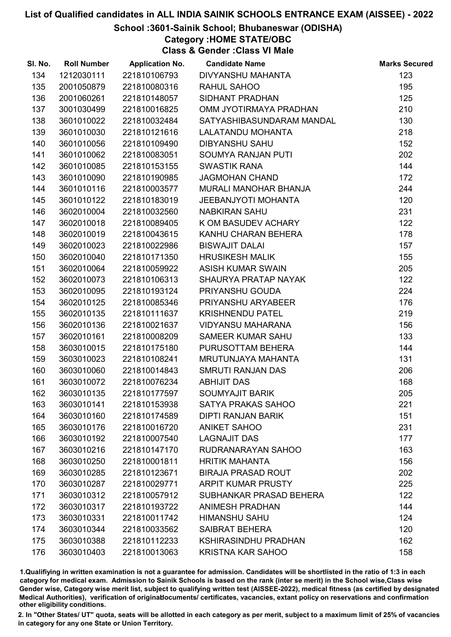### School :3601-Sainik School; Bhubaneswar (ODISHA)

# Category :HOME STATE/OBC

Class & Gender :Class VI Male

| SI. No. | <b>Roll Number</b> | <b>Application No.</b> | <b>Candidate Name</b>       | <b>Marks Secured</b> |
|---------|--------------------|------------------------|-----------------------------|----------------------|
| 134     | 1212030111         | 221810106793           | DIVYANSHU MAHANTA           | 123                  |
| 135     | 2001050879         | 221810080316           | RAHUL SAHOO                 | 195                  |
| 136     | 2001060261         | 221810148057           | SIDHANT PRADHAN             | 125                  |
| 137     | 3001030499         | 221810016825           | OMM JYOTIRMAYA PRADHAN      | 210                  |
| 138     | 3601010022         | 221810032484           | SATYASHIBASUNDARAM MANDAL   | 130                  |
| 139     | 3601010030         | 221810121616           | LALATANDU MOHANTA           | 218                  |
| 140     | 3601010056         | 221810109490           | <b>DIBYANSHU SAHU</b>       | 152                  |
| 141     | 3601010062         | 221810083051           | SOUMYA RANJAN PUTI          | 202                  |
| 142     | 3601010085         | 221810153155           | <b>SWASTIK RANA</b>         | 144                  |
| 143     | 3601010090         | 221810190985           | <b>JAGMOHAN CHAND</b>       | 172                  |
| 144     | 3601010116         | 221810003577           | MURALI MANOHAR BHANJA       | 244                  |
| 145     | 3601010122         | 221810183019           | <b>JEEBANJYOTI MOHANTA</b>  | 120                  |
| 146     | 3602010004         | 221810032560           | <b>NABKIRAN SAHU</b>        | 231                  |
| 147     | 3602010018         | 221810089405           | K OM BASUDEV ACHARY         | 122                  |
| 148     | 3602010019         | 221810043615           | KANHU CHARAN BEHERA         | 178                  |
| 149     | 3602010023         | 221810022986           | <b>BISWAJIT DALAI</b>       | 157                  |
| 150     | 3602010040         | 221810171350           | <b>HRUSIKESH MALIK</b>      | 155                  |
| 151     | 3602010064         | 221810059922           | <b>ASISH KUMAR SWAIN</b>    | 205                  |
| 152     | 3602010073         | 221810106313           | SHAURYA PRATAP NAYAK        | 122                  |
| 153     | 3602010095         | 221810193124           | PRIYANSHU GOUDA             | 224                  |
| 154     | 3602010125         | 221810085346           | PRIYANSHU ARYABEER          | 176                  |
| 155     | 3602010135         | 221810111637           | <b>KRISHNENDU PATEL</b>     | 219                  |
| 156     | 3602010136         | 221810021637           | <b>VIDYANSU MAHARANA</b>    | 156                  |
| 157     | 3602010161         | 221810008209           | SAMEER KUMAR SAHU           | 133                  |
| 158     | 3603010015         | 221810175180           | PURUSOTTAM BEHERA           | 144                  |
| 159     | 3603010023         | 221810108241           | MRUTUNJAYA MAHANTA          | 131                  |
| 160     | 3603010060         | 221810014843           | SMRUTI RANJAN DAS           | 206                  |
| 161     | 3603010072         | 221810076234           | <b>ABHIJIT DAS</b>          | 168                  |
| 162     | 3603010135         | 221810177597           | <b>SOUMYAJIT BARIK</b>      | 205                  |
| 163     | 3603010141         | 221810153938           | <b>SATYA PRAKAS SAHOO</b>   | 221                  |
| 164     | 3603010160         | 221810174589           | <b>DIPTI RANJAN BARIK</b>   | 151                  |
| 165     | 3603010176         | 221810016720           | <b>ANIKET SAHOO</b>         | 231                  |
| 166     | 3603010192         | 221810007540           | <b>LAGNAJIT DAS</b>         | 177                  |
| 167     | 3603010216         | 221810147170           | RUDRANARAYAN SAHOO          | 163                  |
| 168     | 3603010250         | 221810001811           | <b>HRITIK MAHANTA</b>       | 156                  |
| 169     | 3603010285         | 221810123671           | <b>BIRAJA PRASAD ROUT</b>   | 202                  |
| 170     | 3603010287         | 221810029771           | <b>ARPIT KUMAR PRUSTY</b>   | 225                  |
| 171     | 3603010312         | 221810057912           | SUBHANKAR PRASAD BEHERA     | 122                  |
| 172     | 3603010317         | 221810193722           | <b>ANIMESH PRADHAN</b>      | 144                  |
| 173     | 3603010331         | 221810011742           | <b>HIMANSHU SAHU</b>        | 124                  |
| 174     | 3603010344         | 221810033562           | <b>SAIBRAT BEHERA</b>       | 120                  |
| 175     | 3603010388         | 221810112233           | <b>KSHIRASINDHU PRADHAN</b> | 162                  |
| 176     | 3603010403         | 221810013063           | <b>KRISTNA KAR SAHOO</b>    | 158                  |

1.Qualifiying in written examination is not a guarantee for admission. Candidates will be shortlisted in the ratio of 1:3 in each category for medical exam. Admission to Sainik Schools is based on the rank (inter se merit) in the School wise,Class wise Gender wise, Category wise merit list, subject to qualifying written test (AISSEE-2022), medical fitness (as certified by designated Medical Authorities), verification of originablocuments/ certificates, vacancies, extant policy on reservations and confirmation other eligibility conditions.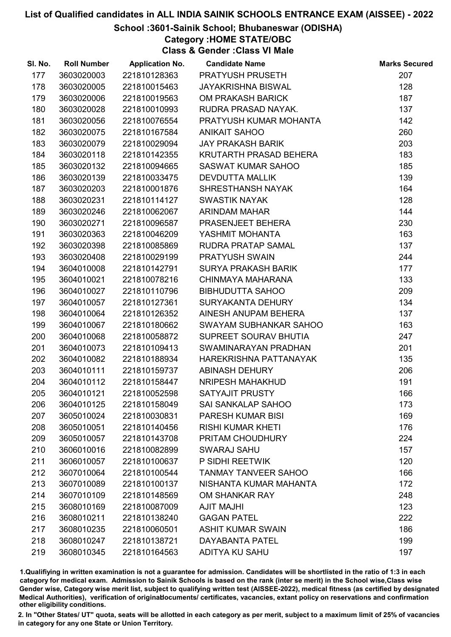## School :3601-Sainik School; Bhubaneswar (ODISHA)

Category :HOME STATE/OBC

Class & Gender :Class VI Male

| SI. No. | <b>Roll Number</b> | <b>Application No.</b> | <b>Candidate Name</b>       | <b>Marks Secured</b> |
|---------|--------------------|------------------------|-----------------------------|----------------------|
| 177     | 3603020003         | 221810128363           | PRATYUSH PRUSETH            | 207                  |
| 178     | 3603020005         | 221810015463           | <b>JAYAKRISHNA BISWAL</b>   | 128                  |
| 179     | 3603020006         | 221810019563           | <b>OM PRAKASH BARICK</b>    | 187                  |
| 180     | 3603020028         | 221810010993           | RUDRA PRASAD NAYAK.         | 137                  |
| 181     | 3603020056         | 221810076554           | PRATYUSH KUMAR MOHANTA      | 142                  |
| 182     | 3603020075         | 221810167584           | <b>ANIKAIT SAHOO</b>        | 260                  |
| 183     | 3603020079         | 221810029094           | <b>JAY PRAKASH BARIK</b>    | 203                  |
| 184     | 3603020118         | 221810142355           | KRUTARTH PRASAD BEHERA      | 183                  |
| 185     | 3603020132         | 221810094665           | <b>SASWAT KUMAR SAHOO</b>   | 185                  |
| 186     | 3603020139         | 221810033475           | <b>DEVDUTTA MALLIK</b>      | 139                  |
| 187     | 3603020203         | 221810001876           | SHRESTHANSH NAYAK           | 164                  |
| 188     | 3603020231         | 221810114127           | <b>SWASTIK NAYAK</b>        | 128                  |
| 189     | 3603020246         | 221810062067           | <b>ARINDAM MAHAR</b>        | 144                  |
| 190     | 3603020271         | 221810096587           | PRASENJEET BEHERA           | 230                  |
| 191     | 3603020363         | 221810046209           | YASHMIT MOHANTA             | 163                  |
| 192     | 3603020398         | 221810085869           | RUDRA PRATAP SAMAL          | 137                  |
| 193     | 3603020408         | 221810029199           | PRATYUSH SWAIN              | 244                  |
| 194     | 3604010008         | 221810142791           | <b>SURYA PRAKASH BARIK</b>  | 177                  |
| 195     | 3604010021         | 221810078216           | CHINMAYA MAHARANA           | 133                  |
| 196     | 3604010027         | 221810110796           | <b>BIBHUDUTTA SAHOO</b>     | 209                  |
| 197     | 3604010057         | 221810127361           | SURYAKANTA DEHURY           | 134                  |
| 198     | 3604010064         | 221810126352           | AINESH ANUPAM BEHERA        | 137                  |
| 199     | 3604010067         | 221810180662           | SWAYAM SUBHANKAR SAHOO      | 163                  |
| 200     | 3604010068         | 221810058872           | SUPREET SOURAV BHUTIA       | 247                  |
| 201     | 3604010073         | 221810109413           | SWAMINARAYAN PRADHAN        | 201                  |
| 202     | 3604010082         | 221810188934           | HAREKRISHNA PATTANAYAK      | 135                  |
| 203     | 3604010111         | 221810159737           | ABINASH DEHURY              | 206                  |
| 204     | 3604010112         | 221810158447           | NRIPESH MAHAKHUD            | 191                  |
| 205     | 3604010121         | 221810052598           | <b>SATYAJIT PRUSTY</b>      | 166                  |
| 206     | 3604010125         | 221810158049           | <b>SAI SANKALAP SAHOO</b>   | 173                  |
| 207     | 3605010024         | 221810030831           | <b>PARESH KUMAR BISI</b>    | 169                  |
| 208     | 3605010051         | 221810140456           | <b>RISHI KUMAR KHETI</b>    | 176                  |
| 209     | 3605010057         | 221810143708           | PRITAM CHOUDHURY            | 224                  |
| 210     | 3606010016         | 221810082899           | <b>SWARAJ SAHU</b>          | 157                  |
| 211     | 3606010057         | 221810100637           | P SIDHI REETWIK             | 120                  |
| 212     | 3607010064         | 221810100544           | <b>TANMAY TANVEER SAHOO</b> | 166                  |
| 213     | 3607010089         | 221810100137           | NISHANTA KUMAR MAHANTA      | 172                  |
| 214     | 3607010109         | 221810148569           | OM SHANKAR RAY              | 248                  |
| 215     | 3608010169         | 221810087009           | <b>AJIT MAJHI</b>           | 123                  |
| 216     | 3608010211         | 221810138240           | <b>GAGAN PATEL</b>          | 222                  |
| 217     | 3608010235         | 221810060501           | <b>ASHIT KUMAR SWAIN</b>    | 186                  |
| 218     | 3608010247         | 221810138721           | DAYABANTA PATEL             | 199                  |
| 219     | 3608010345         | 221810164563           | ADITYA KU SAHU              | 197                  |

1.Qualifiying in written examination is not a guarantee for admission. Candidates will be shortlisted in the ratio of 1:3 in each category for medical exam. Admission to Sainik Schools is based on the rank (inter se merit) in the School wise,Class wise Gender wise, Category wise merit list, subject to qualifying written test (AISSEE-2022), medical fitness (as certified by designated Medical Authorities), verification of originablocuments/ certificates, vacancies, extant policy on reservations and confirmation other eligibility conditions.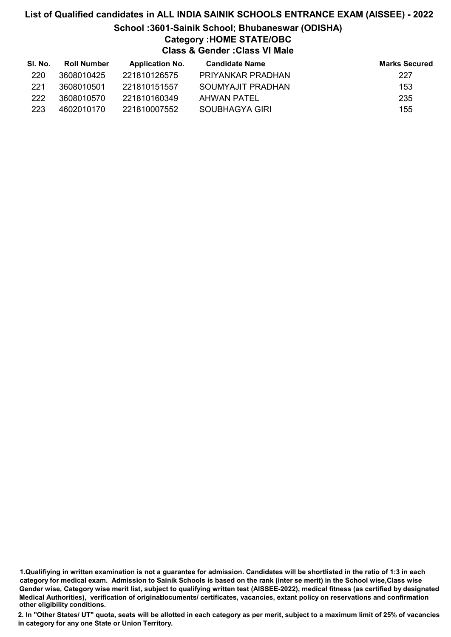# List of Qualified candidates in ALL INDIA SAINIK SCHOOLS ENTRANCE EXAM (AISSEE) - 2022 School :3601-Sainik School; Bhubaneswar (ODISHA) Category :HOME STATE/OBC Class & Gender :Class VI Male

| SI. No. | <b>Roll Number</b> | <b>Application No.</b> | <b>Candidate Name</b> | <b>Marks Secured</b> |
|---------|--------------------|------------------------|-----------------------|----------------------|
| 220     | 3608010425         | 221810126575           | PRIYANKAR PRADHAN     | 227                  |
| 221     | 3608010501         | 221810151557           | SOUMYAJIT PRADHAN     | 153                  |
| 222     | 3608010570         | 221810160349           | AHWAN PATFI           | 235                  |
| 223     | 4602010170         | 221810007552           | SOUBHAGYA GIRI        | 155                  |

1.Qualifiying in written examination is not a guarantee for admission. Candidates will be shortlisted in the ratio of 1:3 in each category for medical exam. Admission to Sainik Schools is based on the rank (inter se merit) in the School wise,Class wise Gender wise, Category wise merit list, subject to qualifying written test (AISSEE-2022), medical fitness (as certified by designated Medical Authorities), verification of originablocuments/ certificates, vacancies, extant policy on reservations and confirmation other eligibility conditions.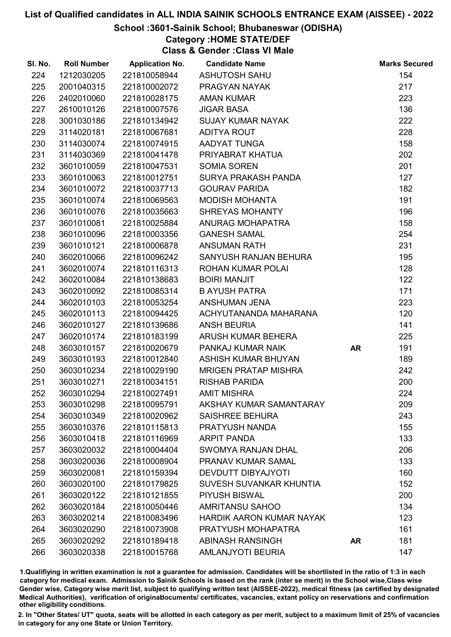## School :3601-Sainik School; Bhubaneswar (ODISHA)

# Category :HOME STATE/DEF

Class & Gender :Class VI Male

| SI. No. | <b>Roll Number</b> | <b>Application No.</b> | <b>Candidate Name</b>           |           | <b>Marks Secured</b> |
|---------|--------------------|------------------------|---------------------------------|-----------|----------------------|
| 224     | 1212030205         | 221810058944           | <b>ASHUTOSH SAHU</b>            |           | 154                  |
| 225     | 2001040315         | 221810002072           | PRAGYAN NAYAK                   |           | 217                  |
| 226     | 2402010060         | 221810028175           | <b>AMAN KUMAR</b>               |           | 223                  |
| 227     | 2610010126         | 221810007576           | <b>JIGAR BASA</b>               |           | 136                  |
| 228     | 3001030186         | 221810134942           | <b>SUJAY KUMAR NAYAK</b>        |           | 222                  |
| 229     | 3114020181         | 221810067681           | ADITYA ROUT                     |           | 228                  |
| 230     | 3114030074         | 221810074915           | AADYAT TUNGA                    |           | 158                  |
| 231     | 3114030369         | 221810041478           | PRIYABRAT KHATUA                |           | 202                  |
| 232     | 3601010059         | 221810047531           | <b>SOMIA SOREN</b>              |           | 201                  |
| 233     | 3601010063         | 221810012751           | <b>SURYA PRAKASH PANDA</b>      |           | 127                  |
| 234     | 3601010072         | 221810037713           | <b>GOURAV PARIDA</b>            |           | 182                  |
| 235     | 3601010074         | 221810069563           | <b>MODISH MOHANTA</b>           |           | 191                  |
| 236     | 3601010076         | 221810035663           | SHREYAS MOHANTY                 |           | 196                  |
| 237     | 3601010081         | 221810025884           | ANURAG MOHAPATRA                |           | 158                  |
| 238     | 3601010096         | 221810003356           | <b>GANESH SAMAL</b>             |           | 254                  |
| 239     | 3601010121         | 221810006878           | <b>ANSUMAN RATH</b>             |           | 231                  |
| 240     | 3602010066         | 221810096242           | SANYUSH RANJAN BEHURA           |           | 195                  |
| 241     | 3602010074         | 221810116313           | ROHAN KUMAR POLAI               |           | 128                  |
| 242     | 3602010084         | 221810138683           | <b>BOIRI MANJIT</b>             |           | 122                  |
| 243     | 3602010092         | 221810085314           | <b>B AYUSH PATRA</b>            |           | 171                  |
| 244     | 3602010103         | 221810053254           | ANSHUMAN JENA                   |           | 223                  |
| 245     | 3602010113         | 221810094425           | ACHYUTANANDA MAHARANA           |           | 120                  |
| 246     | 3602010127         | 221810139686           | <b>ANSH BEURIA</b>              |           | 141                  |
| 247     | 3602010174         | 221810183199           | ARUSH KUMAR BEHERA              |           | 225                  |
| 248     | 3603010157         | 221810020679           | PANKAJ KUMAR NAIK               | <b>AR</b> | 191                  |
| 249     | 3603010193         | 221810012840           | ASHISH KUMAR BHUYAN             |           | 189                  |
| 250     | 3603010234         | 221810029190           | <b>MRIGEN PRATAP MISHRA</b>     |           | 242                  |
| 251     | 3603010271         | 221810034151           | <b>RISHAB PARIDA</b>            |           | 200                  |
| 252     | 3603010294         | 221810027491           | <b>AMIT MISHRA</b>              |           | 224                  |
| 253     | 3603010298         | 221810095791           | AKSHAY KUMAR SAMANTARAY         |           | 209                  |
| 254     | 3603010349         | 221810020962           | <b>SAISHREE BEHURA</b>          |           | 243                  |
| 255     | 3603010376         | 221810115813           | PRATYUSH NANDA                  |           | 155                  |
| 256     | 3603010418         | 221810116969           | <b>ARPIT PANDA</b>              |           | 133                  |
| 257     | 3603020032         | 221810004404           | SWOMYA RANJAN DHAL              |           | 206                  |
| 258     | 3603020036         | 221810008904           | PRANAV KUMAR SAMAL              |           | 133                  |
| 259     | 3603020081         | 221810159394           | <b>DEVDUTT DIBYAJYOTI</b>       |           | 160                  |
| 260     | 3603020100         | 221810179825           | SUVESH SUVANKAR KHUNTIA         |           | 152                  |
| 261     | 3603020122         | 221810121855           | <b>PIYUSH BISWAL</b>            |           | 200                  |
| 262     | 3603020184         | 221810050446           | <b>AMRITANSU SAHOO</b>          |           | 134                  |
| 263     | 3603020214         | 221810083496           | <b>HARDIK AARON KUMAR NAYAK</b> |           | 123                  |
| 264     | 3603020290         | 221810073908           | PRATYUSH MOHAPATRA              |           | 161                  |
| 265     | 3603020292         | 221810189418           | <b>ABINASH RANSINGH</b>         | <b>AR</b> | 181                  |
| 266     | 3603020338         | 221810015768           | <b>AMLANJYOTI BEURIA</b>        |           | 147                  |

1.Qualifiying in written examination is not a guarantee for admission. Candidates will be shortlisted in the ratio of 1:3 in each category for medical exam. Admission to Sainik Schools is based on the rank (inter se merit) in the School wise,Class wise Gender wise, Category wise merit list, subject to qualifying written test (AISSEE-2022), medical fitness (as certified by designated Medical Authorities), verification of originablocuments/ certificates, vacancies, extant policy on reservations and confirmation other eligibility conditions.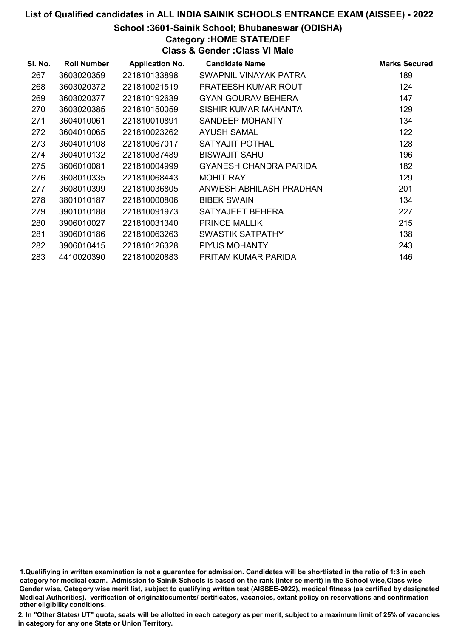## School :3601-Sainik School; Bhubaneswar (ODISHA)

# Category :HOME STATE/DEF

Class & Gender :Class VI Male

| SI. No. | <b>Roll Number</b> | <b>Application No.</b> | <b>Candidate Name</b>         | <b>Marks Secured</b> |
|---------|--------------------|------------------------|-------------------------------|----------------------|
| 267     | 3603020359         | 221810133898           | SWAPNIL VINAYAK PATRA         | 189                  |
| 268     | 3603020372         | 221810021519           | <b>PRATEESH KUMAR ROUT</b>    | 124                  |
| 269     | 3603020377         | 221810192639           | <b>GYAN GOURAV BEHERA</b>     | 147                  |
| 270     | 3603020385         | 221810150059           | SISHIR KUMAR MAHANTA          | 129                  |
| 271     | 3604010061         | 221810010891           | SANDEEP MOHANTY               | 134                  |
| 272     | 3604010065         | 221810023262           | AYUSH SAMAL                   | 122                  |
| 273     | 3604010108         | 221810067017           | SATYAJIT POTHAL               | 128                  |
| 274     | 3604010132         | 221810087489           | <b>BISWAJIT SAHU</b>          | 196                  |
| 275     | 3606010081         | 221810004999           | <b>GYANESH CHANDRA PARIDA</b> | 182                  |
| 276     | 3608010335         | 221810068443           | <b>MOHIT RAY</b>              | 129                  |
| 277     | 3608010399         | 221810036805           | ANWESH ABHILASH PRADHAN       | 201                  |
| 278     | 3801010187         | 221810000806           | <b>BIBEK SWAIN</b>            | 134                  |
| 279     | 3901010188         | 221810091973           | SATYAJEET BEHERA              | 227                  |
| 280     | 3906010027         | 221810031340           | <b>PRINCE MALLIK</b>          | 215                  |
| 281     | 3906010186         | 221810063263           | SWASTIK SATPATHY              | 138                  |
| 282     | 3906010415         | 221810126328           | PIYUS MOHANTY                 | 243                  |
| 283     | 4410020390         | 221810020883           | PRITAM KUMAR PARIDA           | 146                  |

<sup>1.</sup>Qualifiying in written examination is not a guarantee for admission. Candidates will be shortlisted in the ratio of 1:3 in each category for medical exam. Admission to Sainik Schools is based on the rank (inter se merit) in the School wise,Class wise Gender wise, Category wise merit list, subject to qualifying written test (AISSEE-2022), medical fitness (as certified by designated Medical Authorities), verification of originablocuments/ certificates, vacancies, extant policy on reservations and confirmation other eligibility conditions.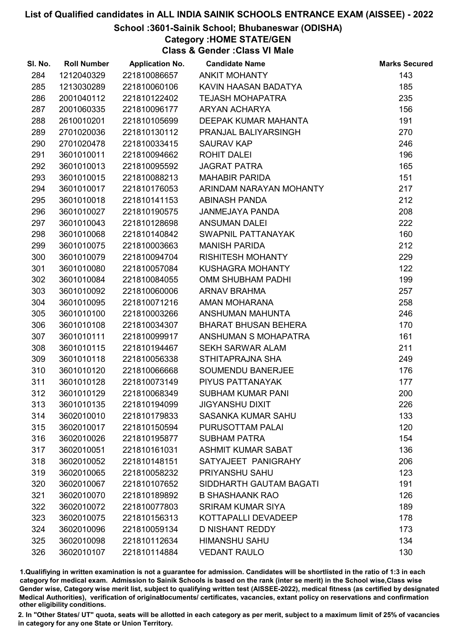### School :3601-Sainik School; Bhubaneswar (ODISHA)

Category :HOME STATE/GEN

Class & Gender :Class VI Male

| SI. No. | <b>Roll Number</b> | <b>Application No.</b> | <b>Candidate Name</b>       | <b>Marks Secured</b> |
|---------|--------------------|------------------------|-----------------------------|----------------------|
| 284     | 1212040329         | 221810086657           | <b>ANKIT MOHANTY</b>        | 143                  |
| 285     | 1213030289         | 221810060106           | KAVIN HAASAN BADATYA        | 185                  |
| 286     | 2001040112         | 221810122402           | <b>TEJASH MOHAPATRA</b>     | 235                  |
| 287     | 2001060335         | 221810096177           | <b>ARYAN ACHARYA</b>        | 156                  |
| 288     | 2610010201         | 221810105699           | DEEPAK KUMAR MAHANTA        | 191                  |
| 289     | 2701020036         | 221810130112           | PRANJAL BALIYARSINGH        | 270                  |
| 290     | 2701020478         | 221810033415           | <b>SAURAV KAP</b>           | 246                  |
| 291     | 3601010011         | 221810094662           | <b>ROHIT DALEI</b>          | 196                  |
| 292     | 3601010013         | 221810095592           | <b>JAGRAT PATRA</b>         | 165                  |
| 293     | 3601010015         | 221810088213           | <b>MAHABIR PARIDA</b>       | 151                  |
| 294     | 3601010017         | 221810176053           | ARINDAM NARAYAN MOHANTY     | 217                  |
| 295     | 3601010018         | 221810141153           | <b>ABINASH PANDA</b>        | 212                  |
| 296     | 3601010027         | 221810190575           | <b>JANMEJAYA PANDA</b>      | 208                  |
| 297     | 3601010043         | 221810128698           | <b>ANSUMAN DALEI</b>        | 222                  |
| 298     | 3601010068         | 221810140842           | SWAPNIL PATTANAYAK          | 160                  |
| 299     | 3601010075         | 221810003663           | <b>MANISH PARIDA</b>        | 212                  |
| 300     | 3601010079         | 221810094704           | <b>RISHITESH MOHANTY</b>    | 229                  |
| 301     | 3601010080         | 221810057084           | KUSHAGRA MOHANTY            | 122                  |
| 302     | 3601010084         | 221810084055           | <b>OMM SHUBHAM PADHI</b>    | 199                  |
| 303     | 3601010092         | 221810060006           | <b>ARNAV BRAHMA</b>         | 257                  |
| 304     | 3601010095         | 221810071216           | AMAN MOHARANA               | 258                  |
| 305     | 3601010100         | 221810003266           | ANSHUMAN MAHUNTA            | 246                  |
| 306     | 3601010108         | 221810034307           | <b>BHARAT BHUSAN BEHERA</b> | 170                  |
| 307     | 3601010111         | 221810099917           | ANSHUMAN S MOHAPATRA        | 161                  |
| 308     | 3601010115         | 221810194467           | <b>SEKH SARWAR ALAM</b>     | 211                  |
| 309     | 3601010118         | 221810056338           | STHITAPRAJNA SHA            | 249                  |
| 310     | 3601010120         | 221810066668           | <b>SOUMENDU BANERJEE</b>    | 176                  |
| 311     | 3601010128         | 221810073149           | PIYUS PATTANAYAK            | 177                  |
| 312     | 3601010129         | 221810068349           | <b>SUBHAM KUMAR PANI</b>    | 200                  |
| 313     | 3601010135         | 221810194099           | <b>JIGYANSHU DIXIT</b>      | 226                  |
| 314     | 3602010010         | 221810179833           | <b>SASANKA KUMAR SAHU</b>   | 133                  |
| 315     | 3602010017         | 221810150594           | PURUSOTTAM PALAI            | 120                  |
| 316     | 3602010026         | 221810195877           | <b>SUBHAM PATRA</b>         | 154                  |
| 317     | 3602010051         | 221810161031           | <b>ASHMIT KUMAR SABAT</b>   | 136                  |
| 318     | 3602010052         | 221810148151           | SATYAJEET PANIGRAHY         | 206                  |
| 319     | 3602010065         | 221810058232           | PRIYANSHU SAHU              | 123                  |
| 320     | 3602010067         | 221810107652           | SIDDHARTH GAUTAM BAGATI     | 191                  |
| 321     | 3602010070         | 221810189892           | <b>B SHASHAANK RAO</b>      | 126                  |
| 322     | 3602010072         | 221810077803           | <b>SRIRAM KUMAR SIYA</b>    | 189                  |
| 323     | 3602010075         | 221810156313           | KOTTAPALLI DEVADEEP         | 178                  |
| 324     | 3602010096         | 221810059134           | D NISHANT REDDY             | 173                  |
| 325     | 3602010098         | 221810112634           | <b>HIMANSHU SAHU</b>        | 134                  |
| 326     | 3602010107         | 221810114884           | <b>VEDANT RAULO</b>         | 130                  |

1.Qualifiying in written examination is not a guarantee for admission. Candidates will be shortlisted in the ratio of 1:3 in each category for medical exam. Admission to Sainik Schools is based on the rank (inter se merit) in the School wise,Class wise Gender wise, Category wise merit list, subject to qualifying written test (AISSEE-2022), medical fitness (as certified by designated Medical Authorities), verification of originablocuments/ certificates, vacancies, extant policy on reservations and confirmation other eligibility conditions.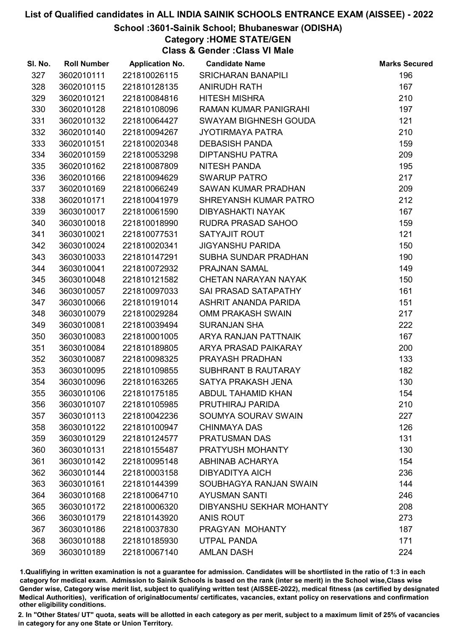### School :3601-Sainik School; Bhubaneswar (ODISHA)

# Category :HOME STATE/GEN

Class & Gender :Class VI Male

| SI. No. | <b>Roll Number</b> | <b>Application No.</b> | <b>Candidate Name</b>       | <b>Marks Secured</b> |
|---------|--------------------|------------------------|-----------------------------|----------------------|
| 327     | 3602010111         | 221810026115           | <b>SRICHARAN BANAPILI</b>   | 196                  |
| 328     | 3602010115         | 221810128135           | <b>ANIRUDH RATH</b>         | 167                  |
| 329     | 3602010121         | 221810084816           | <b>HITESH MISHRA</b>        | 210                  |
| 330     | 3602010128         | 221810108096           | RAMAN KUMAR PANIGRAHI       | 197                  |
| 331     | 3602010132         | 221810064427           | SWAYAM BIGHNESH GOUDA       | 121                  |
| 332     | 3602010140         | 221810094267           | <b>JYOTIRMAYA PATRA</b>     | 210                  |
| 333     | 3602010151         | 221810020348           | <b>DEBASISH PANDA</b>       | 159                  |
| 334     | 3602010159         | 221810053298           | <b>DIPTANSHU PATRA</b>      | 209                  |
| 335     | 3602010162         | 221810087809           | <b>NITESH PANDA</b>         | 195                  |
| 336     | 3602010166         | 221810094629           | <b>SWARUP PATRO</b>         | 217                  |
| 337     | 3602010169         | 221810066249           | SAWAN KUMAR PRADHAN         | 209                  |
| 338     | 3602010171         | 221810041979           | SHREYANSH KUMAR PATRO       | 212                  |
| 339     | 3603010017         | 221810061590           | <b>DIBYASHAKTI NAYAK</b>    | 167                  |
| 340     | 3603010018         | 221810018990           | RUDRA PRASAD SAHOO          | 159                  |
| 341     | 3603010021         | 221810077531           | SATYAJIT ROUT               | 121                  |
| 342     | 3603010024         | 221810020341           | <b>JIGYANSHU PARIDA</b>     | 150                  |
| 343     | 3603010033         | 221810147291           | SUBHA SUNDAR PRADHAN        | 190                  |
| 344     | 3603010041         | 221810072932           | PRAJNAN SAMAL               | 149                  |
| 345     | 3603010048         | 221810121582           | <b>CHETAN NARAYAN NAYAK</b> | 150                  |
| 346     | 3603010057         | 221810097033           | SAI PRASAD SATAPATHY        | 161                  |
| 347     | 3603010066         | 221810191014           | ASHRIT ANANDA PARIDA        | 151                  |
| 348     | 3603010079         | 221810029284           | <b>OMM PRAKASH SWAIN</b>    | 217                  |
| 349     | 3603010081         | 221810039494           | <b>SURANJAN SHA</b>         | 222                  |
| 350     | 3603010083         | 221810001005           | ARYA RANJAN PATTNAIK        | 167                  |
| 351     | 3603010084         | 221810189805           | ARYA PRASAD PAIKARAY        | 200                  |
| 352     | 3603010087         | 221810098325           | PRAYASH PRADHAN             | 133                  |
| 353     | 3603010095         | 221810109855           | SUBHRANT B RAUTARAY         | 182                  |
| 354     | 3603010096         | 221810163265           | SATYA PRAKASH JENA          | 130                  |
| 355     | 3603010106         | 221810175185           | ABDUL TAHAMID KHAN          | 154                  |
| 356     | 3603010107         | 221810105985           | PRUTHIRAJ PARIDA            | 210                  |
| 357     | 3603010113         | 221810042236           | <b>SOUMYA SOURAV SWAIN</b>  | 227                  |
| 358     | 3603010122         | 221810100947           | <b>CHINMAYA DAS</b>         | 126                  |
| 359     | 3603010129         | 221810124577           | PRATUSMAN DAS               | 131                  |
| 360     | 3603010131         | 221810155487           | PRATYUSH MOHANTY            | 130                  |
| 361     | 3603010142         | 221810095148           | ABHINAB ACHARYA             | 154                  |
| 362     | 3603010144         | 221810003158           | <b>DIBYADITYA AICH</b>      | 236                  |
| 363     | 3603010161         | 221810144399           | SOUBHAGYA RANJAN SWAIN      | 144                  |
| 364     | 3603010168         | 221810064710           | <b>AYUSMAN SANTI</b>        | 246                  |
| 365     | 3603010172         | 221810006320           | DIBYANSHU SEKHAR MOHANTY    | 208                  |
| 366     | 3603010179         | 221810143920           | <b>ANIS ROUT</b>            | 273                  |
| 367     | 3603010186         | 221810037830           | PRAGYAN MOHANTY             | 187                  |
| 368     | 3603010188         | 221810185930           | <b>UTPAL PANDA</b>          | 171                  |
| 369     | 3603010189         | 221810067140           | <b>AMLAN DASH</b>           | 224                  |

1.Qualifiying in written examination is not a guarantee for admission. Candidates will be shortlisted in the ratio of 1:3 in each category for medical exam. Admission to Sainik Schools is based on the rank (inter se merit) in the School wise,Class wise Gender wise, Category wise merit list, subject to qualifying written test (AISSEE-2022), medical fitness (as certified by designated Medical Authorities), verification of originablocuments/ certificates, vacancies, extant policy on reservations and confirmation other eligibility conditions.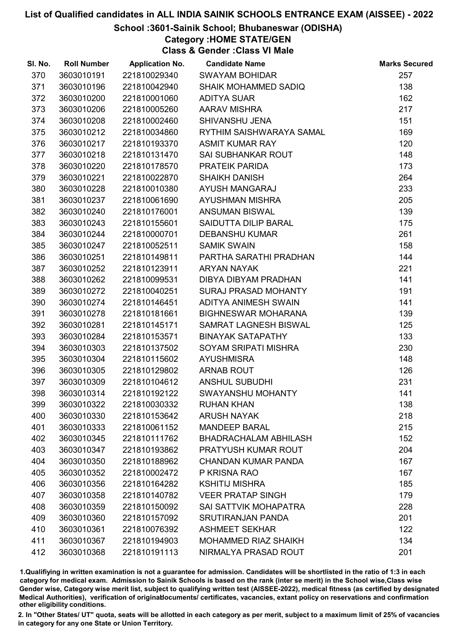## School :3601-Sainik School; Bhubaneswar (ODISHA)

# Category :HOME STATE/GEN

Class & Gender :Class VI Male

| SI. No. | <b>Roll Number</b> | <b>Application No.</b> | <b>Candidate Name</b>        | <b>Marks Secured</b> |
|---------|--------------------|------------------------|------------------------------|----------------------|
| 370     | 3603010191         | 221810029340           | <b>SWAYAM BOHIDAR</b>        | 257                  |
| 371     | 3603010196         | 221810042940           | <b>SHAIK MOHAMMED SADIQ</b>  | 138                  |
| 372     | 3603010200         | 221810001060           | <b>ADITYA SUAR</b>           | 162                  |
| 373     | 3603010206         | 221810005260           | <b>AARAV MISHRA</b>          | 217                  |
| 374     | 3603010208         | 221810002460           | SHIVANSHU JENA               | 151                  |
| 375     | 3603010212         | 221810034860           | RYTHIM SAISHWARAYA SAMAL     | 169                  |
| 376     | 3603010217         | 221810193370           | <b>ASMIT KUMAR RAY</b>       | 120                  |
| 377     | 3603010218         | 221810131470           | <b>SAI SUBHANKAR ROUT</b>    | 148                  |
| 378     | 3603010220         | 221810178570           | <b>PRATEIK PARIDA</b>        | 173                  |
| 379     | 3603010221         | 221810022870           | <b>SHAIKH DANISH</b>         | 264                  |
| 380     | 3603010228         | 221810010380           | AYUSH MANGARAJ               | 233                  |
| 381     | 3603010237         | 221810061690           | AYUSHMAN MISHRA              | 205                  |
| 382     | 3603010240         | 221810176001           | <b>ANSUMAN BISWAL</b>        | 139                  |
| 383     | 3603010243         | 221810155601           | SAIDUTTA DILIP BARAL         | 175                  |
| 384     | 3603010244         | 221810000701           | <b>DEBANSHU KUMAR</b>        | 261                  |
| 385     | 3603010247         | 221810052511           | <b>SAMIK SWAIN</b>           | 158                  |
| 386     | 3603010251         | 221810149811           | PARTHA SARATHI PRADHAN       | 144                  |
| 387     | 3603010252         | 221810123911           | <b>ARYAN NAYAK</b>           | 221                  |
| 388     | 3603010262         | 221810099531           | DIBYA DIBYAM PRADHAN         | 141                  |
| 389     | 3603010272         | 221810040251           | SURAJ PRASAD MOHANTY         | 191                  |
| 390     | 3603010274         | 221810146451           | ADITYA ANIMESH SWAIN         | 141                  |
| 391     | 3603010278         | 221810181661           | <b>BIGHNESWAR MOHARANA</b>   | 139                  |
| 392     | 3603010281         | 221810145171           | SAMRAT LAGNESH BISWAL        | 125                  |
| 393     | 3603010284         | 221810153571           | <b>BINAYAK SATAPATHY</b>     | 133                  |
| 394     | 3603010303         | 221810137502           | SOYAM SRIPATI MISHRA         | 230                  |
| 395     | 3603010304         | 221810115602           | <b>AYUSHMISRA</b>            | 148                  |
| 396     | 3603010305         | 221810129802           | <b>ARNAB ROUT</b>            | 126                  |
| 397     | 3603010309         | 221810104612           | <b>ANSHUL SUBUDHI</b>        | 231                  |
| 398     | 3603010314         | 221810192122           | <b>SWAYANSHU MOHANTY</b>     | 141                  |
| 399     | 3603010322         | 221810030332           | <b>RUHAN KHAN</b>            | 138                  |
| 400     | 3603010330         | 221810153642           | <b>ARUSH NAYAK</b>           | 218                  |
| 401     | 3603010333         | 221810061152           | <b>MANDEEP BARAL</b>         | 215                  |
| 402     | 3603010345         | 221810111762           | <b>BHADRACHALAM ABHILASH</b> | 152                  |
| 403     | 3603010347         | 221810193862           | <b>PRATYUSH KUMAR ROUT</b>   | 204                  |
| 404     | 3603010350         | 221810188962           | <b>CHANDAN KUMAR PANDA</b>   | 167                  |
| 405     | 3603010352         | 221810002472           | P KRISNA RAO                 | 167                  |
| 406     | 3603010356         | 221810164282           | <b>KSHITIJ MISHRA</b>        | 185                  |
| 407     | 3603010358         | 221810140782           | <b>VEER PRATAP SINGH</b>     | 179                  |
| 408     | 3603010359         | 221810150092           | SAI SATTVIK MOHAPATRA        | 228                  |
| 409     | 3603010360         | 221810157092           | <b>SRUTIRANJAN PANDA</b>     | 201                  |
| 410     | 3603010361         | 221810076392           | <b>ASHMEET SEKHAR</b>        | 122                  |
| 411     | 3603010367         | 221810194903           | <b>MOHAMMED RIAZ SHAIKH</b>  | 134                  |
| 412     | 3603010368         | 221810191113           | NIRMALYA PRASAD ROUT         | 201                  |

1.Qualifiying in written examination is not a guarantee for admission. Candidates will be shortlisted in the ratio of 1:3 in each category for medical exam. Admission to Sainik Schools is based on the rank (inter se merit) in the School wise,Class wise Gender wise, Category wise merit list, subject to qualifying written test (AISSEE-2022), medical fitness (as certified by designated Medical Authorities), verification of originablocuments/ certificates, vacancies, extant policy on reservations and confirmation other eligibility conditions.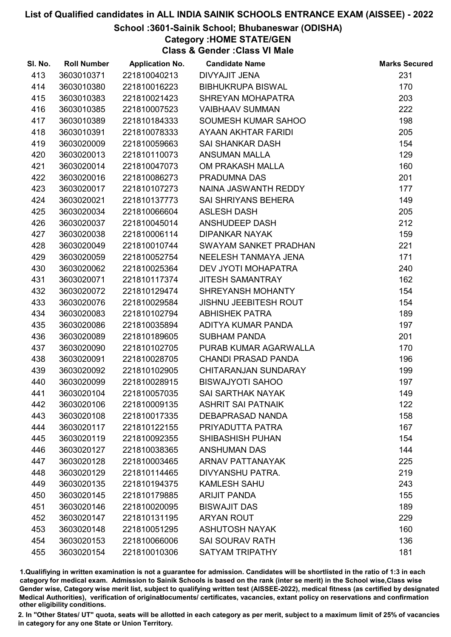## School :3601-Sainik School; Bhubaneswar (ODISHA)

Category :HOME STATE/GEN

Class & Gender :Class VI Male

| SI. No. | <b>Roll Number</b> | <b>Application No.</b> | <b>Candidate Name</b>        | <b>Marks Secured</b> |
|---------|--------------------|------------------------|------------------------------|----------------------|
| 413     | 3603010371         | 221810040213           | <b>DIVYAJIT JENA</b>         | 231                  |
| 414     | 3603010380         | 221810016223           | <b>BIBHUKRUPA BISWAL</b>     | 170                  |
| 415     | 3603010383         | 221810021423           | SHREYAN MOHAPATRA            | 203                  |
| 416     | 3603010385         | 221810007523           | <b>VAIBHAAV SUMMAN</b>       | 222                  |
| 417     | 3603010389         | 221810184333           | SOUMESH KUMAR SAHOO          | 198                  |
| 418     | 3603010391         | 221810078333           | AYAAN AKHTAR FARIDI          | 205                  |
| 419     | 3603020009         | 221810059663           | <b>SAI SHANKAR DASH</b>      | 154                  |
| 420     | 3603020013         | 221810110073           | <b>ANSUMAN MALLA</b>         | 129                  |
| 421     | 3603020014         | 221810047073           | OM PRAKASH MALLA             | 160                  |
| 422     | 3603020016         | 221810086273           | PRADUMNA DAS                 | 201                  |
| 423     | 3603020017         | 221810107273           | NAINA JASWANTH REDDY         | 177                  |
| 424     | 3603020021         | 221810137773           | <b>SAI SHRIYANS BEHERA</b>   | 149                  |
| 425     | 3603020034         | 221810066604           | <b>ASLESH DASH</b>           | 205                  |
| 426     | 3603020037         | 221810045014           | ANSHUDEEP DASH               | 212                  |
| 427     | 3603020038         | 221810006114           | <b>DIPANKAR NAYAK</b>        | 159                  |
| 428     | 3603020049         | 221810010744           | SWAYAM SANKET PRADHAN        | 221                  |
| 429     | 3603020059         | 221810052754           | NEELESH TANMAYA JENA         | 171                  |
| 430     | 3603020062         | 221810025364           | <b>DEV JYOTI MOHAPATRA</b>   | 240                  |
| 431     | 3603020071         | 221810117374           | <b>JITESH SAMANTRAY</b>      | 162                  |
| 432     | 3603020072         | 221810129474           | SHREYANSH MOHANTY            | 154                  |
| 433     | 3603020076         | 221810029584           | <b>JISHNU JEEBITESH ROUT</b> | 154                  |
| 434     | 3603020083         | 221810102794           | <b>ABHISHEK PATRA</b>        | 189                  |
| 435     | 3603020086         | 221810035894           | ADITYA KUMAR PANDA           | 197                  |
| 436     | 3603020089         | 221810189605           | <b>SUBHAM PANDA</b>          | 201                  |
| 437     | 3603020090         | 221810102705           | PURAB KUMAR AGARWALLA        | 170                  |
| 438     | 3603020091         | 221810028705           | <b>CHANDI PRASAD PANDA</b>   | 196                  |
| 439     | 3603020092         | 221810102905           | CHITARANJAN SUNDARAY         | 199                  |
| 440     | 3603020099         | 221810028915           | <b>BISWAJYOTI SAHOO</b>      | 197                  |
| 441     | 3603020104         | 221810057035           | <b>SAI SARTHAK NAYAK</b>     | 149                  |
| 442     | 3603020106         | 221810009135           | <b>ASHRIT SAI PATNAIK</b>    | 122                  |
| 443     | 3603020108         | 221810017335           | <b>DEBAPRASAD NANDA</b>      | 158                  |
| 444     | 3603020117         | 221810122155           | PRIYADUTTA PATRA             | 167                  |
| 445     | 3603020119         | 221810092355           | <b>SHIBASHISH PUHAN</b>      | 154                  |
| 446     | 3603020127         | 221810038365           | <b>ANSHUMAN DAS</b>          | 144                  |
| 447     | 3603020128         | 221810003465           | <b>ARNAV PATTANAYAK</b>      | 225                  |
| 448     | 3603020129         | 221810114465           | DIVYANSHU PATRA.             | 219                  |
| 449     | 3603020135         | 221810194375           | <b>KAMLESH SAHU</b>          | 243                  |
| 450     | 3603020145         | 221810179885           | <b>ARIJIT PANDA</b>          | 155                  |
| 451     | 3603020146         | 221810020095           | <b>BISWAJIT DAS</b>          | 189                  |
| 452     | 3603020147         | 221810131195           | <b>ARYAN ROUT</b>            | 229                  |
| 453     | 3603020148         | 221810051295           | <b>ASHUTOSH NAYAK</b>        | 160                  |
| 454     | 3603020153         | 221810066006           | <b>SAI SOURAV RATH</b>       | 136                  |
| 455     | 3603020154         | 221810010306           | <b>SATYAM TRIPATHY</b>       | 181                  |

1.Qualifiying in written examination is not a guarantee for admission. Candidates will be shortlisted in the ratio of 1:3 in each category for medical exam. Admission to Sainik Schools is based on the rank (inter se merit) in the School wise,Class wise Gender wise, Category wise merit list, subject to qualifying written test (AISSEE-2022), medical fitness (as certified by designated Medical Authorities), verification of originablocuments/ certificates, vacancies, extant policy on reservations and confirmation other eligibility conditions.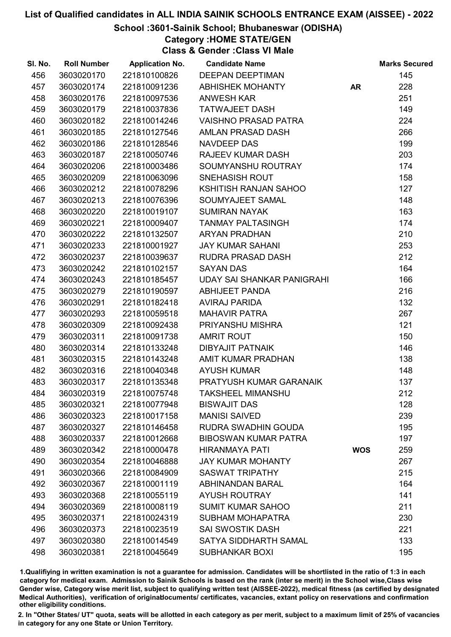## School :3601-Sainik School; Bhubaneswar (ODISHA)

# Category :HOME STATE/GEN

Class & Gender :Class VI Male

| SI. No. | <b>Roll Number</b> | <b>Application No.</b> | <b>Candidate Name</b>        |            | <b>Marks Secured</b> |
|---------|--------------------|------------------------|------------------------------|------------|----------------------|
| 456     | 3603020170         | 221810100826           | <b>DEEPAN DEEPTIMAN</b>      |            | 145                  |
| 457     | 3603020174         | 221810091236           | <b>ABHISHEK MOHANTY</b>      | <b>AR</b>  | 228                  |
| 458     | 3603020176         | 221810097536           | <b>ANWESH KAR</b>            |            | 251                  |
| 459     | 3603020179         | 221810037836           | <b>TATWAJEET DASH</b>        |            | 149                  |
| 460     | 3603020182         | 221810014246           | <b>VAISHNO PRASAD PATRA</b>  |            | 224                  |
| 461     | 3603020185         | 221810127546           | AMLAN PRASAD DASH            |            | 266                  |
| 462     | 3603020186         | 221810128546           | <b>NAVDEEP DAS</b>           |            | 199                  |
| 463     | 3603020187         | 221810050746           | <b>RAJEEV KUMAR DASH</b>     |            | 203                  |
| 464     | 3603020206         | 221810003486           | SOUMYANSHU ROUTRAY           |            | 174                  |
| 465     | 3603020209         | 221810063096           | <b>SNEHASISH ROUT</b>        |            | 158                  |
| 466     | 3603020212         | 221810078296           | KSHITISH RANJAN SAHOO        |            | 127                  |
| 467     | 3603020213         | 221810076396           | SOUMYAJEET SAMAL             |            | 148                  |
| 468     | 3603020220         | 221810019107           | <b>SUMIRAN NAYAK</b>         |            | 163                  |
| 469     | 3603020221         | 221810009407           | <b>TANMAY PALTASINGH</b>     |            | 174                  |
| 470     | 3603020222         | 221810132507           | <b>ARYAN PRADHAN</b>         |            | 210                  |
| 471     | 3603020233         | 221810001927           | <b>JAY KUMAR SAHANI</b>      |            | 253                  |
| 472     | 3603020237         | 221810039637           | RUDRA PRASAD DASH            |            | 212                  |
| 473     | 3603020242         | 221810102157           | <b>SAYAN DAS</b>             |            | 164                  |
| 474     | 3603020243         | 221810185457           | UDAY SAI SHANKAR PANIGRAHI   |            | 166                  |
| 475     | 3603020279         | 221810190597           | <b>ABHIJEET PANDA</b>        |            | 216                  |
| 476     | 3603020291         | 221810182418           | <b>AVIRAJ PARIDA</b>         |            | 132                  |
| 477     | 3603020293         | 221810059518           | <b>MAHAVIR PATRA</b>         |            | 267                  |
| 478     | 3603020309         | 221810092438           | PRIYANSHU MISHRA             |            | 121                  |
| 479     | 3603020311         | 221810091738           | <b>AMRIT ROUT</b>            |            | 150                  |
| 480     | 3603020314         | 221810133248           | <b>DIBYAJIT PATNAIK</b>      |            | 146                  |
| 481     | 3603020315         | 221810143248           | AMIT KUMAR PRADHAN           |            | 138                  |
| 482     | 3603020316         | 221810040348           | <b>AYUSH KUMAR</b>           |            | 148                  |
| 483     | 3603020317         | 221810135348           | PRATYUSH KUMAR GARANAIK      |            | 137                  |
| 484     | 3603020319         | 221810075748           | <b>TAKSHEEL MIMANSHU</b>     |            | 212                  |
| 485     | 3603020321         | 221810077948           | <b>BISWAJIT DAS</b>          |            | 128                  |
| 486     | 3603020323         | 221810017158           | <b>MANISI SAIVED</b>         |            | 239                  |
| 487     | 3603020327         | 221810146458           | RUDRA SWADHIN GOUDA          |            | 195                  |
| 488     | 3603020337         | 221810012668           | <b>BIBOSWAN KUMAR PATRA</b>  |            | 197                  |
| 489     | 3603020342         | 221810000478           | <b>HIRANMAYA PATI</b>        | <b>WOS</b> | 259                  |
| 490     | 3603020354         | 221810046888           | <b>JAY KUMAR MOHANTY</b>     |            | 267                  |
| 491     | 3603020366         | 221810084909           | <b>SASWAT TRIPATHY</b>       |            | 215                  |
| 492     | 3603020367         | 221810001119           | <b>ABHINANDAN BARAL</b>      |            | 164                  |
| 493     | 3603020368         | 221810055119           | <b>AYUSH ROUTRAY</b>         |            | 141                  |
| 494     | 3603020369         | 221810008119           | <b>SUMIT KUMAR SAHOO</b>     |            | 211                  |
| 495     | 3603020371         | 221810024319           | <b>SUBHAM MOHAPATRA</b>      |            | 230                  |
| 496     | 3603020373         | 221810023519           | <b>SAI SWOSTIK DASH</b>      |            | 221                  |
| 497     | 3603020380         | 221810014549           | <b>SATYA SIDDHARTH SAMAL</b> |            | 133                  |
| 498     | 3603020381         | 221810045649           | <b>SUBHANKAR BOXI</b>        |            | 195                  |

1.Qualifiying in written examination is not a guarantee for admission. Candidates will be shortlisted in the ratio of 1:3 in each category for medical exam. Admission to Sainik Schools is based on the rank (inter se merit) in the School wise,Class wise Gender wise, Category wise merit list, subject to qualifying written test (AISSEE-2022), medical fitness (as certified by designated Medical Authorities), verification of originablocuments/ certificates, vacancies, extant policy on reservations and confirmation other eligibility conditions.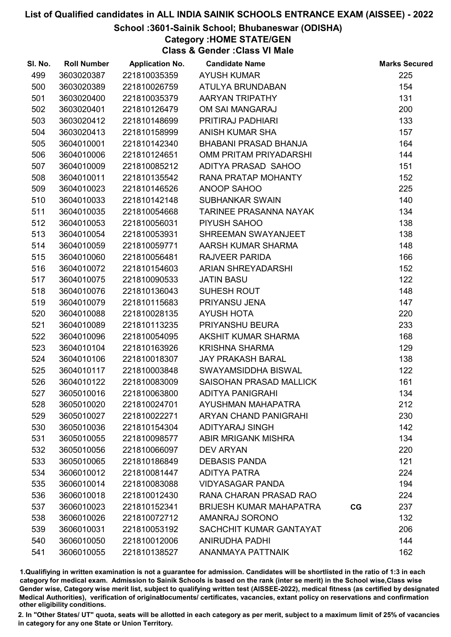## School :3601-Sainik School; Bhubaneswar (ODISHA)

Category :HOME STATE/GEN

Class & Gender :Class VI Male

| SI. No. | <b>Roll Number</b> | <b>Application No.</b> | <b>Candidate Name</b>          |    | <b>Marks Secured</b> |
|---------|--------------------|------------------------|--------------------------------|----|----------------------|
| 499     | 3603020387         | 221810035359           | <b>AYUSH KUMAR</b>             |    | 225                  |
| 500     | 3603020389         | 221810026759           | ATULYA BRUNDABAN               |    | 154                  |
| 501     | 3603020400         | 221810035379           | AARYAN TRIPATHY                |    | 131                  |
| 502     | 3603020401         | 221810126479           | <b>OM SAI MANGARAJ</b>         |    | 200                  |
| 503     | 3603020412         | 221810148699           | PRITIRAJ PADHIARI              |    | 133                  |
| 504     | 3603020413         | 221810158999           | <b>ANISH KUMAR SHA</b>         |    | 157                  |
| 505     | 3604010001         | 221810142340           | <b>BHABANI PRASAD BHANJA</b>   |    | 164                  |
| 506     | 3604010006         | 221810124651           | OMM PRITAM PRIYADARSHI         |    | 144                  |
| 507     | 3604010009         | 221810085212           | ADITYA PRASAD SAHOO            |    | 151                  |
| 508     | 3604010011         | 221810135542           | RANA PRATAP MOHANTY            |    | 152                  |
| 509     | 3604010023         | 221810146526           | ANOOP SAHOO                    |    | 225                  |
| 510     | 3604010033         | 221810142148           | <b>SUBHANKAR SWAIN</b>         |    | 140                  |
| 511     | 3604010035         | 221810054668           | <b>TARINEE PRASANNA NAYAK</b>  |    | 134                  |
| 512     | 3604010053         | 221810056031           | PIYUSH SAHOO                   |    | 138                  |
| 513     | 3604010054         | 221810053931           | SHREEMAN SWAYANJEET            |    | 138                  |
| 514     | 3604010059         | 221810059771           | AARSH KUMAR SHARMA             |    | 148                  |
| 515     | 3604010060         | 221810056481           | <b>RAJVEER PARIDA</b>          |    | 166                  |
| 516     | 3604010072         | 221810154603           | ARIAN SHREYADARSHI             |    | 152                  |
| 517     | 3604010075         | 221810090533           | <b>JATIN BASU</b>              |    | 122                  |
| 518     | 3604010076         | 221810136043           | SUHESH ROUT                    |    | 148                  |
| 519     | 3604010079         | 221810115683           | PRIYANSU JENA                  |    | 147                  |
| 520     | 3604010088         | 221810028135           | <b>AYUSH HOTA</b>              |    | 220                  |
| 521     | 3604010089         | 221810113235           | PRIYANSHU BEURA                |    | 233                  |
| 522     | 3604010096         | 221810054095           | AKSHIT KUMAR SHARMA            |    | 168                  |
| 523     | 3604010104         | 221810163926           | <b>KRISHNA SHARMA</b>          |    | 129                  |
| 524     | 3604010106         | 221810018307           | <b>JAY PRAKASH BARAL</b>       |    | 138                  |
| 525     | 3604010117         | 221810003848           | SWAYAMSIDDHA BISWAL            |    | 122                  |
| 526     | 3604010122         | 221810083009           | SAISOHAN PRASAD MALLICK        |    | 161                  |
| 527     | 3605010016         | 221810063800           | <b>ADITYA PANIGRAHI</b>        |    | 134                  |
| 528     | 3605010020         | 221810024701           | AYUSHMAN MAHAPATRA             |    | 212                  |
| 529     | 3605010027         | 221810022271           | <b>ARYAN CHAND PANIGRAHI</b>   |    | 230                  |
| 530     | 3605010036         | 221810154304           | <b>ADITYARAJ SINGH</b>         |    | 142                  |
| 531     | 3605010055         | 221810098577           | <b>ABIR MRIGANK MISHRA</b>     |    | 134                  |
| 532     | 3605010056         | 221810066097           | <b>DEV ARYAN</b>               |    | 220                  |
| 533     | 3605010065         | 221810186849           | <b>DEBASIS PANDA</b>           |    | 121                  |
| 534     | 3606010012         | 221810081447           | <b>ADITYA PATRA</b>            |    | 224                  |
| 535     | 3606010014         | 221810083088           | <b>VIDYASAGAR PANDA</b>        |    | 194                  |
| 536     | 3606010018         | 221810012430           | RANA CHARAN PRASAD RAO         |    | 224                  |
| 537     | 3606010023         | 221810152341           | <b>BRIJESH KUMAR MAHAPATRA</b> | CG | 237                  |
| 538     | 3606010026         | 221810072712           | AMANRAJ SORONO                 |    | 132                  |
| 539     | 3606010031         | 221810053192           | SACHCHIT KUMAR GANTAYAT        |    | 206                  |
| 540     | 3606010050         | 221810012006           | <b>ANIRUDHA PADHI</b>          |    | 144                  |
| 541     | 3606010055         | 221810138527           | ANANMAYA PATTNAIK              |    | 162                  |

1.Qualifiying in written examination is not a guarantee for admission. Candidates will be shortlisted in the ratio of 1:3 in each category for medical exam. Admission to Sainik Schools is based on the rank (inter se merit) in the School wise,Class wise Gender wise, Category wise merit list, subject to qualifying written test (AISSEE-2022), medical fitness (as certified by designated Medical Authorities), verification of originablocuments/ certificates, vacancies, extant policy on reservations and confirmation other eligibility conditions.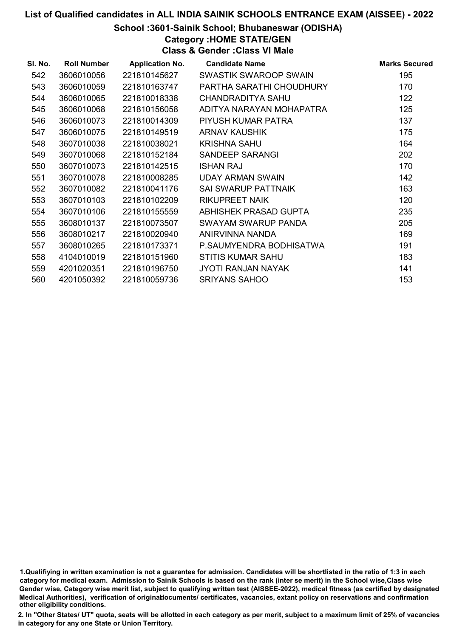### School :3601-Sainik School; Bhubaneswar (ODISHA)

Category :HOME STATE/GEN

Class & Gender :Class VI Male

| SI. No. | <b>Roll Number</b> | <b>Application No.</b> | <b>Candidate Name</b>      | <b>Marks Secured</b> |
|---------|--------------------|------------------------|----------------------------|----------------------|
| 542     | 3606010056         | 221810145627           | SWASTIK SWAROOP SWAIN      | 195                  |
| 543     | 3606010059         | 221810163747           | PARTHA SARATHI CHOUDHURY   | 170                  |
| 544     | 3606010065         | 221810018338           | <b>CHANDRADITYA SAHU</b>   | 122                  |
| 545     | 3606010068         | 221810156058           | ADITYA NARAYAN MOHAPATRA   | 125                  |
| 546     | 3606010073         | 221810014309           | PIYUSH KUMAR PATRA         | 137                  |
| 547     | 3606010075         | 221810149519           | <b>ARNAV KAUSHIK</b>       | 175                  |
| 548     | 3607010038         | 221810038021           | KRISHNA SAHU               | 164                  |
| 549     | 3607010068         | 221810152184           | SANDEEP SARANGI            | 202                  |
| 550     | 3607010073         | 221810142515           | <b>ISHAN RAJ</b>           | 170                  |
| 551     | 3607010078         | 221810008285           | UDAY ARMAN SWAIN           | 142                  |
| 552     | 3607010082         | 221810041176           | <b>SAI SWARUP PATTNAIK</b> | 163                  |
| 553     | 3607010103         | 221810102209           | <b>RIKUPREET NAIK</b>      | 120                  |
| 554     | 3607010106         | 221810155559           | ABHISHEK PRASAD GUPTA      | 235                  |
| 555     | 3608010137         | 221810073507           | SWAYAM SWARUP PANDA        | 205                  |
| 556     | 3608010217         | 221810020940           | ANIRVINNA NANDA            | 169                  |
| 557     | 3608010265         | 221810173371           | P.SAUMYENDRA BODHISATWA    | 191                  |
| 558     | 4104010019         | 221810151960           | <b>STITIS KUMAR SAHU</b>   | 183                  |
| 559     | 4201020351         | 221810196750           | JYOTI RANJAN NAYAK         | 141                  |
| 560     | 4201050392         | 221810059736           | <b>SRIYANS SAHOO</b>       | 153                  |

<sup>1.</sup>Qualifiying in written examination is not a guarantee for admission. Candidates will be shortlisted in the ratio of 1:3 in each category for medical exam. Admission to Sainik Schools is based on the rank (inter se merit) in the School wise,Class wise Gender wise, Category wise merit list, subject to qualifying written test (AISSEE-2022), medical fitness (as certified by designated Medical Authorities), verification of originablocuments/ certificates, vacancies, extant policy on reservations and confirmation other eligibility conditions.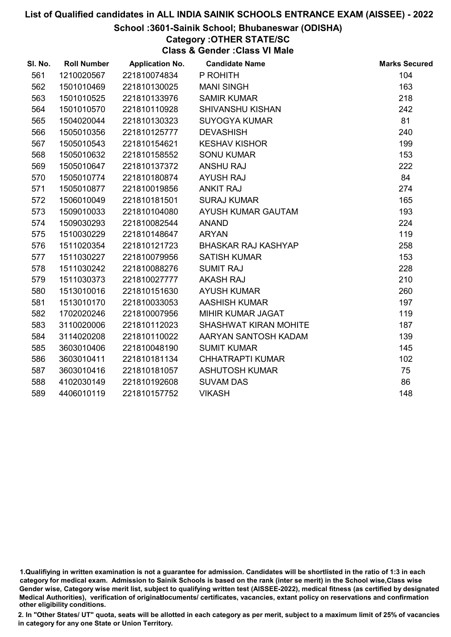#### School :3601-Sainik School; Bhubaneswar (ODISHA)

## Category :OTHER STATE/SC

Class & Gender :Class VI Male

| SI. No. | <b>Roll Number</b> | <b>Application No.</b> | <b>Candidate Name</b>      | <b>Marks Secured</b> |
|---------|--------------------|------------------------|----------------------------|----------------------|
| 561     | 1210020567         | 221810074834           | P ROHITH                   | 104                  |
| 562     | 1501010469         | 221810130025           | <b>MANI SINGH</b>          | 163                  |
| 563     | 1501010525         | 221810133976           | <b>SAMIR KUMAR</b>         | 218                  |
| 564     | 1501010570         | 221810110928           | <b>SHIVANSHU KISHAN</b>    | 242                  |
| 565     | 1504020044         | 221810130323           | <b>SUYOGYA KUMAR</b>       | 81                   |
| 566     | 1505010356         | 221810125777           | <b>DEVASHISH</b>           | 240                  |
| 567     | 1505010543         | 221810154621           | <b>KESHAV KISHOR</b>       | 199                  |
| 568     | 1505010632         | 221810158552           | <b>SONU KUMAR</b>          | 153                  |
| 569     | 1505010647         | 221810137372           | <b>ANSHU RAJ</b>           | 222                  |
| 570     | 1505010774         | 221810180874           | <b>AYUSH RAJ</b>           | 84                   |
| 571     | 1505010877         | 221810019856           | <b>ANKIT RAJ</b>           | 274                  |
| 572     | 1506010049         | 221810181501           | <b>SURAJ KUMAR</b>         | 165                  |
| 573     | 1509010033         | 221810104080           | AYUSH KUMAR GAUTAM         | 193                  |
| 574     | 1509030293         | 221810082544           | <b>ANAND</b>               | 224                  |
| 575     | 1510030229         | 221810148647           | <b>ARYAN</b>               | 119                  |
| 576     | 1511020354         | 221810121723           | <b>BHASKAR RAJ KASHYAP</b> | 258                  |
| 577     | 1511030227         | 221810079956           | <b>SATISH KUMAR</b>        | 153                  |
| 578     | 1511030242         | 221810088276           | <b>SUMIT RAJ</b>           | 228                  |
| 579     | 1511030373         | 221810027777           | <b>AKASH RAJ</b>           | 210                  |
| 580     | 1513010016         | 221810151630           | <b>AYUSH KUMAR</b>         | 260                  |
| 581     | 1513010170         | 221810033053           | <b>AASHISH KUMAR</b>       | 197                  |
| 582     | 1702020246         | 221810007956           | MIHIR KUMAR JAGAT          | 119                  |
| 583     | 3110020006         | 221810112023           | SHASHWAT KIRAN MOHITE      | 187                  |
| 584     | 3114020208         | 221810110022           | AARYAN SANTOSH KADAM       | 139                  |
| 585     | 3603010406         | 221810048190           | <b>SUMIT KUMAR</b>         | 145                  |
| 586     | 3603010411         | 221810181134           | <b>CHHATRAPTI KUMAR</b>    | 102                  |
| 587     | 3603010416         | 221810181057           | <b>ASHUTOSH KUMAR</b>      | 75                   |
| 588     | 4102030149         | 221810192608           | <b>SUVAM DAS</b>           | 86                   |
| 589     | 4406010119         | 221810157752           | <b>VIKASH</b>              | 148                  |

<sup>1.</sup>Qualifiying in written examination is not a guarantee for admission. Candidates will be shortlisted in the ratio of 1:3 in each category for medical exam. Admission to Sainik Schools is based on the rank (inter se merit) in the School wise,Class wise Gender wise, Category wise merit list, subject to qualifying written test (AISSEE-2022), medical fitness (as certified by designated Medical Authorities), verification of originablocuments/ certificates, vacancies, extant policy on reservations and confirmation other eligibility conditions.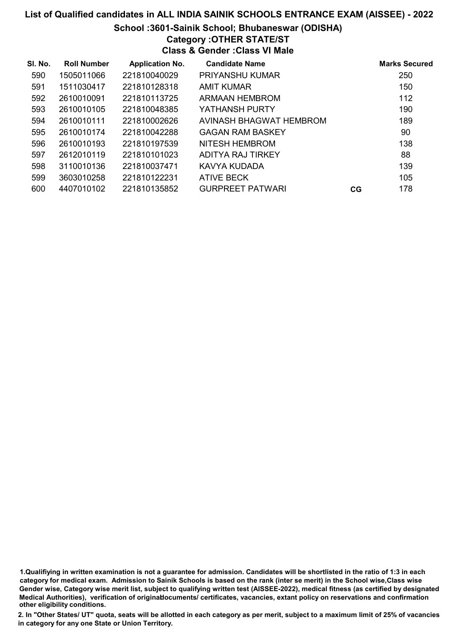# List of Qualified candidates in ALL INDIA SAINIK SCHOOLS ENTRANCE EXAM (AISSEE) - 2022 School :3601-Sainik School; Bhubaneswar (ODISHA) Category :OTHER STATE/ST Class & Gender :Class VI Male

| SI. No. | <b>Roll Number</b> | <b>Application No.</b> | <b>Candidate Name</b>   |    | <b>Marks Secured</b> |
|---------|--------------------|------------------------|-------------------------|----|----------------------|
| 590     | 1505011066         | 221810040029           | <b>PRIYANSHU KUMAR</b>  |    | 250                  |
| 591     | 1511030417         | 221810128318           | AMIT KUMAR              |    | 150                  |
| 592     | 2610010091         | 221810113725           | ARMAAN HEMBROM          |    | 112                  |
| 593     | 2610010105         | 221810048385           | YATHANSH PURTY          |    | 190                  |
| 594     | 2610010111         | 221810002626           | AVINASH BHAGWAT HEMBROM |    | 189                  |
| 595     | 2610010174         | 221810042288           | <b>GAGAN RAM BASKEY</b> |    | 90                   |
| 596     | 2610010193         | 221810197539           | <b>NITESH HEMBROM</b>   |    | 138                  |
| 597     | 2612010119         | 221810101023           | ADITYA RAJ TIRKEY       |    | 88                   |
| 598     | 3110010136         | 221810037471           | KAVYA KUDADA            |    | 139                  |
| 599     | 3603010258         | 221810122231           | <b>ATIVE BECK</b>       |    | 105                  |
| 600     | 4407010102         | 221810135852           | <b>GURPREET PATWARI</b> | CG | 178                  |

1.Qualifiying in written examination is not a guarantee for admission. Candidates will be shortlisted in the ratio of 1:3 in each category for medical exam. Admission to Sainik Schools is based on the rank (inter se merit) in the School wise,Class wise Gender wise, Category wise merit list, subject to qualifying written test (AISSEE-2022), medical fitness (as certified by designated Medical Authorities), verification of originablocuments/ certificates, vacancies, extant policy on reservations and confirmation other eligibility conditions.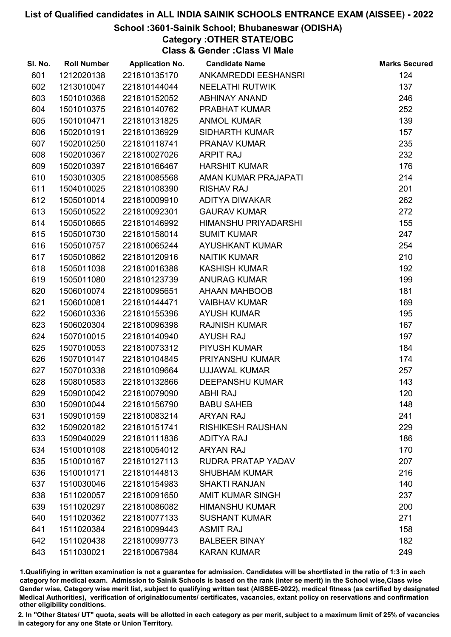## School :3601-Sainik School; Bhubaneswar (ODISHA)

## Category :OTHER STATE/OBC

Class & Gender :Class VI Male

| SI. No. | <b>Roll Number</b> | <b>Application No.</b> | <b>Candidate Name</b>     | <b>Marks Secured</b> |
|---------|--------------------|------------------------|---------------------------|----------------------|
| 601     | 1212020138         | 221810135170           | ANKAMREDDI EESHANSRI      | 124                  |
| 602     | 1213010047         | 221810144044           | <b>NEELATHI RUTWIK</b>    | 137                  |
| 603     | 1501010368         | 221810152052           | <b>ABHINAY ANAND</b>      | 246                  |
| 604     | 1501010375         | 221810140762           | PRABHAT KUMAR             | 252                  |
| 605     | 1501010471         | 221810131825           | <b>ANMOL KUMAR</b>        | 139                  |
| 606     | 1502010191         | 221810136929           | <b>SIDHARTH KUMAR</b>     | 157                  |
| 607     | 1502010250         | 221810118741           | PRANAV KUMAR              | 235                  |
| 608     | 1502010367         | 221810027026           | <b>ARPIT RAJ</b>          | 232                  |
| 609     | 1502010397         | 221810166467           | <b>HARSHIT KUMAR</b>      | 176                  |
| 610     | 1503010305         | 221810085568           | AMAN KUMAR PRAJAPATI      | 214                  |
| 611     | 1504010025         | 221810108390           | <b>RISHAV RAJ</b>         | 201                  |
| 612     | 1505010014         | 221810009910           | ADITYA DIWAKAR            | 262                  |
| 613     | 1505010522         | 221810092301           | <b>GAURAV KUMAR</b>       | 272                  |
| 614     | 1505010665         | 221810146992           | HIMANSHU PRIYADARSHI      | 155                  |
| 615     | 1505010730         | 221810158014           | <b>SUMIT KUMAR</b>        | 247                  |
| 616     | 1505010757         | 221810065244           | <b>AYUSHKANT KUMAR</b>    | 254                  |
| 617     | 1505010862         | 221810120916           | <b>NAITIK KUMAR</b>       | 210                  |
| 618     | 1505011038         | 221810016388           | <b>KASHISH KUMAR</b>      | 192                  |
| 619     | 1505011080         | 221810123739           | <b>ANURAG KUMAR</b>       | 199                  |
| 620     | 1506010074         | 221810095651           | <b>AHAAN MAHBOOB</b>      | 181                  |
| 621     | 1506010081         | 221810144471           | <b>VAIBHAV KUMAR</b>      | 169                  |
| 622     | 1506010336         | 221810155396           | <b>AYUSH KUMAR</b>        | 195                  |
| 623     | 1506020304         | 221810096398           | <b>RAJNISH KUMAR</b>      | 167                  |
| 624     | 1507010015         | 221810140940           | <b>AYUSH RAJ</b>          | 197                  |
| 625     | 1507010053         | 221810073312           | PIYUSH KUMAR              | 184                  |
| 626     | 1507010147         | 221810104845           | PRIYANSHU KUMAR           | 174                  |
| 627     | 1507010338         | 221810109664           | <b>UJJAWAL KUMAR</b>      | 257                  |
| 628     | 1508010583         | 221810132866           | <b>DEEPANSHU KUMAR</b>    | 143                  |
| 629     | 1509010042         | 221810079090           | <b>ABHI RAJ</b>           | 120                  |
| 630     | 1509010044         | 221810156790           | <b>BABU SAHEB</b>         | 148                  |
| 631     | 1509010159         | 221810083214           | <b>ARYAN RAJ</b>          | 241                  |
| 632     | 1509020182         | 221810151741           | <b>RISHIKESH RAUSHAN</b>  | 229                  |
| 633     | 1509040029         | 221810111836           | <b>ADITYA RAJ</b>         | 186                  |
| 634     | 1510010108         | 221810054012           | <b>ARYAN RAJ</b>          | 170                  |
| 635     | 1510010167         | 221810127113           | <b>RUDRA PRATAP YADAV</b> | 207                  |
| 636     | 1510010171         | 221810144813           | <b>SHUBHAM KUMAR</b>      | 216                  |
| 637     | 1510030046         | 221810154983           | <b>SHAKTI RANJAN</b>      | 140                  |
| 638     | 1511020057         | 221810091650           | <b>AMIT KUMAR SINGH</b>   | 237                  |
| 639     | 1511020297         | 221810086082           | <b>HIMANSHU KUMAR</b>     | 200                  |
| 640     | 1511020362         | 221810077133           | <b>SUSHANT KUMAR</b>      | 271                  |
| 641     | 1511020384         | 221810099443           | <b>ASMIT RAJ</b>          | 158                  |
| 642     | 1511020438         | 221810099773           | <b>BALBEER BINAY</b>      | 182                  |
| 643     | 1511030021         | 221810067984           | <b>KARAN KUMAR</b>        | 249                  |

1.Qualifiying in written examination is not a guarantee for admission. Candidates will be shortlisted in the ratio of 1:3 in each category for medical exam. Admission to Sainik Schools is based on the rank (inter se merit) in the School wise,Class wise Gender wise, Category wise merit list, subject to qualifying written test (AISSEE-2022), medical fitness (as certified by designated Medical Authorities), verification of originablocuments/ certificates, vacancies, extant policy on reservations and confirmation other eligibility conditions.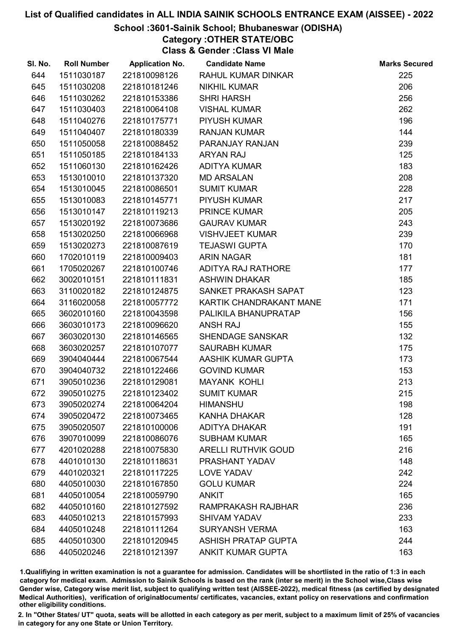## School :3601-Sainik School; Bhubaneswar (ODISHA)

## Category :OTHER STATE/OBC

Class & Gender :Class VI Male

| SI. No. | <b>Roll Number</b> | <b>Application No.</b> | <b>Candidate Name</b>      | <b>Marks Secured</b> |
|---------|--------------------|------------------------|----------------------------|----------------------|
| 644     | 1511030187         | 221810098126           | RAHUL KUMAR DINKAR         | 225                  |
| 645     | 1511030208         | 221810181246           | <b>NIKHIL KUMAR</b>        | 206                  |
| 646     | 1511030262         | 221810153386           | <b>SHRI HARSH</b>          | 256                  |
| 647     | 1511030403         | 221810064108           | <b>VISHAL KUMAR</b>        | 262                  |
| 648     | 1511040276         | 221810175771           | PIYUSH KUMAR               | 196                  |
| 649     | 1511040407         | 221810180339           | <b>RANJAN KUMAR</b>        | 144                  |
| 650     | 1511050058         | 221810088452           | PARANJAY RANJAN            | 239                  |
| 651     | 1511050185         | 221810184133           | <b>ARYAN RAJ</b>           | 125                  |
| 652     | 1511060130         | 221810162426           | <b>ADITYA KUMAR</b>        | 183                  |
| 653     | 1513010010         | 221810137320           | <b>MD ARSALAN</b>          | 208                  |
| 654     | 1513010045         | 221810086501           | <b>SUMIT KUMAR</b>         | 228                  |
| 655     | 1513010083         | 221810145771           | <b>PIYUSH KUMAR</b>        | 217                  |
| 656     | 1513010147         | 221810119213           | PRINCE KUMAR               | 205                  |
| 657     | 1513020192         | 221810073686           | <b>GAURAV KUMAR</b>        | 243                  |
| 658     | 1513020250         | 221810066968           | <b>VISHVJEET KUMAR</b>     | 239                  |
| 659     | 1513020273         | 221810087619           | <b>TEJASWI GUPTA</b>       | 170                  |
| 660     | 1702010119         | 221810009403           | <b>ARIN NAGAR</b>          | 181                  |
| 661     | 1705020267         | 221810100746           | <b>ADITYA RAJ RATHORE</b>  | 177                  |
| 662     | 3002010151         | 221810111831           | <b>ASHWIN DHAKAR</b>       | 185                  |
| 663     | 3110020182         | 221810124875           | SANKET PRAKASH SAPAT       | 123                  |
| 664     | 3116020058         | 221810057772           | KARTIK CHANDRAKANT MANE    | 171                  |
| 665     | 3602010160         | 221810043598           | PALIKILA BHANUPRATAP       | 156                  |
| 666     | 3603010173         | 221810096620           | <b>ANSH RAJ</b>            | 155                  |
| 667     | 3603020130         | 221810146565           | <b>SHENDAGE SANSKAR</b>    | 132                  |
| 668     | 3603020257         | 221810107077           | <b>SAURABH KUMAR</b>       | 175                  |
| 669     | 3904040444         | 221810067544           | AASHIK KUMAR GUPTA         | 173                  |
| 670     | 3904040732         | 221810122466           | <b>GOVIND KUMAR</b>        | 153                  |
| 671     | 3905010236         | 221810129081           | <b>MAYANK KOHLI</b>        | 213                  |
| 672     | 3905010275         | 221810123402           | <b>SUMIT KUMAR</b>         | 215                  |
| 673     | 3905020274         | 221810064204           | <b>HIMANSHU</b>            | 198                  |
| 674     | 3905020472         | 221810073465           | <b>KANHA DHAKAR</b>        | 128                  |
| 675     | 3905020507         | 221810100006           | <b>ADITYA DHAKAR</b>       | 191                  |
| 676     | 3907010099         | 221810086076           | <b>SUBHAM KUMAR</b>        | 165                  |
| 677     | 4201020288         | 221810075830           | <b>ARELLI RUTHVIK GOUD</b> | 216                  |
| 678     | 4401010130         | 221810118631           | PRASHANT YADAV             | 148                  |
| 679     | 4401020321         | 221810117225           | <b>LOVE YADAV</b>          | 242                  |
| 680     | 4405010030         | 221810167850           | <b>GOLU KUMAR</b>          | 224                  |
| 681     | 4405010054         | 221810059790           | <b>ANKIT</b>               | 165                  |
| 682     | 4405010160         | 221810127592           | RAMPRAKASH RAJBHAR         | 236                  |
| 683     | 4405010213         | 221810157993           | <b>SHIVAM YADAV</b>        | 233                  |
| 684     | 4405010248         | 221810111264           | <b>SURYANSH VERMA</b>      | 163                  |
| 685     | 4405010300         | 221810120945           | <b>ASHISH PRATAP GUPTA</b> | 244                  |
| 686     | 4405020246         | 221810121397           | <b>ANKIT KUMAR GUPTA</b>   | 163                  |

1.Qualifiying in written examination is not a guarantee for admission. Candidates will be shortlisted in the ratio of 1:3 in each category for medical exam. Admission to Sainik Schools is based on the rank (inter se merit) in the School wise,Class wise Gender wise, Category wise merit list, subject to qualifying written test (AISSEE-2022), medical fitness (as certified by designated Medical Authorities), verification of originablocuments/ certificates, vacancies, extant policy on reservations and confirmation other eligibility conditions.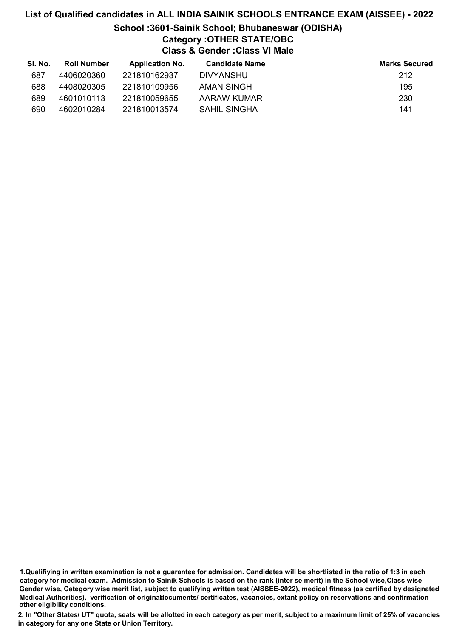# List of Qualified candidates in ALL INDIA SAINIK SCHOOLS ENTRANCE EXAM (AISSEE) - 2022 School :3601-Sainik School; Bhubaneswar (ODISHA) Category :OTHER STATE/OBC Class & Gender :Class VI Male

| SI. No. | <b>Roll Number</b> | <b>Application No.</b> | <b>Candidate Name</b> | <b>Marks Secured</b> |
|---------|--------------------|------------------------|-----------------------|----------------------|
| 687     | 4406020360         | 221810162937           | <b>DIVYANSHU</b>      | 212                  |
| 688     | 4408020305         | 221810109956           | AMAN SINGH            | 195                  |
| 689     | 4601010113         | 221810059655           | AARAW KUMAR           | 230                  |
| 690     | 4602010284         | 221810013574           | <b>SAHIL SINGHA</b>   | 141                  |

<sup>1.</sup>Qualifiying in written examination is not a guarantee for admission. Candidates will be shortlisted in the ratio of 1:3 in each category for medical exam. Admission to Sainik Schools is based on the rank (inter se merit) in the School wise,Class wise Gender wise, Category wise merit list, subject to qualifying written test (AISSEE-2022), medical fitness (as certified by designated Medical Authorities), verification of originablocuments/ certificates, vacancies, extant policy on reservations and confirmation other eligibility conditions.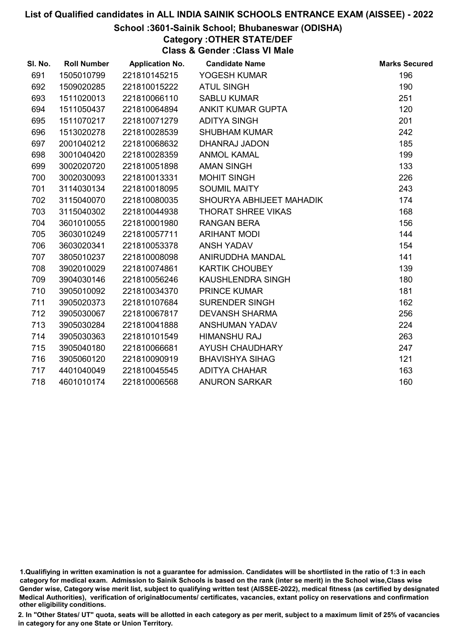### School :3601-Sainik School; Bhubaneswar (ODISHA)

# Category :OTHER STATE/DEF

Class & Gender :Class VI Male

| SI. No. | <b>Roll Number</b> | <b>Application No.</b> | <b>Candidate Name</b>     | <b>Marks Secured</b> |
|---------|--------------------|------------------------|---------------------------|----------------------|
| 691     | 1505010799         | 221810145215           | YOGESH KUMAR              | 196                  |
| 692     | 1509020285         | 221810015222           | <b>ATUL SINGH</b>         | 190                  |
| 693     | 1511020013         | 221810066110           | <b>SABLU KUMAR</b>        | 251                  |
| 694     | 1511050437         | 221810064894           | ANKIT KUMAR GUPTA         | 120                  |
| 695     | 1511070217         | 221810071279           | <b>ADITYA SINGH</b>       | 201                  |
| 696     | 1513020278         | 221810028539           | <b>SHUBHAM KUMAR</b>      | 242                  |
| 697     | 2001040212         | 221810068632           | DHANRAJ JADON             | 185                  |
| 698     | 3001040420         | 221810028359           | <b>ANMOL KAMAL</b>        | 199                  |
| 699     | 3002020720         | 221810051898           | <b>AMAN SINGH</b>         | 133                  |
| 700     | 3002030093         | 221810013331           | <b>MOHIT SINGH</b>        | 226                  |
| 701     | 3114030134         | 221810018095           | <b>SOUMIL MAITY</b>       | 243                  |
| 702     | 3115040070         | 221810080035           | SHOURYA ABHIJEET MAHADIK  | 174                  |
| 703     | 3115040302         | 221810044938           | <b>THORAT SHREE VIKAS</b> | 168                  |
| 704     | 3601010055         | 221810001980           | <b>RANGAN BERA</b>        | 156                  |
| 705     | 3603010249         | 221810057711           | <b>ARIHANT MODI</b>       | 144                  |
| 706     | 3603020341         | 221810053378           | <b>ANSH YADAV</b>         | 154                  |
| 707     | 3805010237         | 221810008098           | ANIRUDDHA MANDAL          | 141                  |
| 708     | 3902010029         | 221810074861           | <b>KARTIK CHOUBEY</b>     | 139                  |
| 709     | 3904030146         | 221810056246           | KAUSHLENDRA SINGH         | 180                  |
| 710     | 3905010092         | 221810034370           | <b>PRINCE KUMAR</b>       | 181                  |
| 711     | 3905020373         | 221810107684           | <b>SURENDER SINGH</b>     | 162                  |
| 712     | 3905030067         | 221810067817           | <b>DEVANSH SHARMA</b>     | 256                  |
| 713     | 3905030284         | 221810041888           | ANSHUMAN YADAV            | 224                  |
| 714     | 3905030363         | 221810101549           | <b>HIMANSHU RAJ</b>       | 263                  |
| 715     | 3905040180         | 221810066681           | <b>AYUSH CHAUDHARY</b>    | 247                  |
| 716     | 3905060120         | 221810090919           | <b>BHAVISHYA SIHAG</b>    | 121                  |
| 717     | 4401040049         | 221810045545           | <b>ADITYA CHAHAR</b>      | 163                  |
| 718     | 4601010174         | 221810006568           | <b>ANURON SARKAR</b>      | 160                  |

<sup>1.</sup>Qualifiying in written examination is not a guarantee for admission. Candidates will be shortlisted in the ratio of 1:3 in each category for medical exam. Admission to Sainik Schools is based on the rank (inter se merit) in the School wise,Class wise Gender wise, Category wise merit list, subject to qualifying written test (AISSEE-2022), medical fitness (as certified by designated Medical Authorities), verification of originablocuments/ certificates, vacancies, extant policy on reservations and confirmation other eligibility conditions.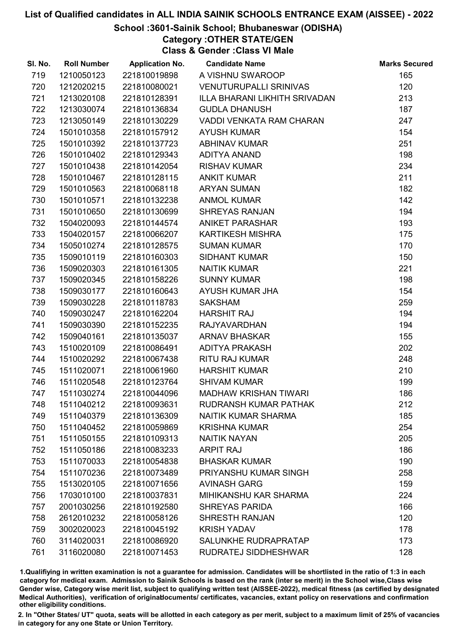## School :3601-Sainik School; Bhubaneswar (ODISHA)

Category :OTHER STATE/GEN

Class & Gender :Class VI Male

| SI. No. | <b>Roll Number</b> | <b>Application No.</b> | <b>Candidate Name</b>           | <b>Marks Secured</b> |
|---------|--------------------|------------------------|---------------------------------|----------------------|
| 719     | 1210050123         | 221810019898           | A VISHNU SWAROOP                | 165                  |
| 720     | 1212020215         | 221810080021           | <b>VENUTURUPALLI SRINIVAS</b>   | 120                  |
| 721     | 1213020108         | 221810128391           | ILLA BHARANI LIKHITH SRIVADAN   | 213                  |
| 722     | 1213030074         | 221810136834           | <b>GUDLA DHANUSH</b>            | 187                  |
| 723     | 1213050149         | 221810130229           | <b>VADDI VENKATA RAM CHARAN</b> | 247                  |
| 724     | 1501010358         | 221810157912           | <b>AYUSH KUMAR</b>              | 154                  |
| 725     | 1501010392         | 221810137723           | <b>ABHINAV KUMAR</b>            | 251                  |
| 726     | 1501010402         | 221810129343           | <b>ADITYA ANAND</b>             | 198                  |
| 727     | 1501010438         | 221810142054           | <b>RISHAV KUMAR</b>             | 234                  |
| 728     | 1501010467         | 221810128115           | <b>ANKIT KUMAR</b>              | 211                  |
| 729     | 1501010563         | 221810068118           | <b>ARYAN SUMAN</b>              | 182                  |
| 730     | 1501010571         | 221810132238           | <b>ANMOL KUMAR</b>              | 142                  |
| 731     | 1501010650         | 221810130699           | <b>SHREYAS RANJAN</b>           | 194                  |
| 732     | 1504020093         | 221810144574           | <b>ANIKET PARASHAR</b>          | 193                  |
| 733     | 1504020157         | 221810066207           | KARTIKESH MISHRA                | 175                  |
| 734     | 1505010274         | 221810128575           | <b>SUMAN KUMAR</b>              | 170                  |
| 735     | 1509010119         | 221810160303           | <b>SIDHANT KUMAR</b>            | 150                  |
| 736     | 1509020303         | 221810161305           | <b>NAITIK KUMAR</b>             | 221                  |
| 737     | 1509020345         | 221810158226           | <b>SUNNY KUMAR</b>              | 198                  |
| 738     | 1509030177         | 221810160643           | AYUSH KUMAR JHA                 | 154                  |
| 739     | 1509030228         | 221810118783           | <b>SAKSHAM</b>                  | 259                  |
| 740     | 1509030247         | 221810162204           | <b>HARSHIT RAJ</b>              | 194                  |
| 741     | 1509030390         | 221810152235           | <b>RAJYAVARDHAN</b>             | 194                  |
| 742     | 1509040161         | 221810135037           | <b>ARNAV BHASKAR</b>            | 155                  |
| 743     | 1510020109         | 221810086491           | ADITYA PRAKASH                  | 202                  |
| 744     | 1510020292         | 221810067438           | <b>RITU RAJ KUMAR</b>           | 248                  |
| 745     | 1511020071         | 221810061960           | <b>HARSHIT KUMAR</b>            | 210                  |
| 746     | 1511020548         | 221810123764           | <b>SHIVAM KUMAR</b>             | 199                  |
| 747     | 1511030274         | 221810044096           | <b>MADHAW KRISHAN TIWARI</b>    | 186                  |
| 748     | 1511040212         | 221810093631           | <b>RUDRANSH KUMAR PATHAK</b>    | 212                  |
| 749     | 1511040379         | 221810136309           | <b>NAITIK KUMAR SHARMA</b>      | 185                  |
| 750     | 1511040452         | 221810059869           | <b>KRISHNA KUMAR</b>            | 254                  |
| 751     | 1511050155         | 221810109313           | <b>NAITIK NAYAN</b>             | 205                  |
| 752     | 1511050186         | 221810083233           | <b>ARPIT RAJ</b>                | 186                  |
| 753     | 1511070033         | 221810054838           | <b>BHASKAR KUMAR</b>            | 190                  |
| 754     | 1511070236         | 221810073489           | PRIYANSHU KUMAR SINGH           | 258                  |
| 755     | 1513020105         | 221810071656           | <b>AVINASH GARG</b>             | 159                  |
| 756     | 1703010100         | 221810037831           | <b>MIHIKANSHU KAR SHARMA</b>    | 224                  |
| 757     | 2001030256         | 221810192580           | <b>SHREYAS PARIDA</b>           | 166                  |
| 758     | 2612010232         | 221810058126           | <b>SHRESTH RANJAN</b>           | 120                  |
| 759     | 3002020023         | 221810045192           | <b>KRISH YADAV</b>              | 178                  |
| 760     | 3114020031         | 221810086920           | SALUNKHE RUDRAPRATAP            | 173                  |
| 761     | 3116020080         | 221810071453           | RUDRATEJ SIDDHESHWAR            | 128                  |

1.Qualifiying in written examination is not a guarantee for admission. Candidates will be shortlisted in the ratio of 1:3 in each category for medical exam. Admission to Sainik Schools is based on the rank (inter se merit) in the School wise,Class wise Gender wise, Category wise merit list, subject to qualifying written test (AISSEE-2022), medical fitness (as certified by designated Medical Authorities), verification of originablocuments/ certificates, vacancies, extant policy on reservations and confirmation other eligibility conditions.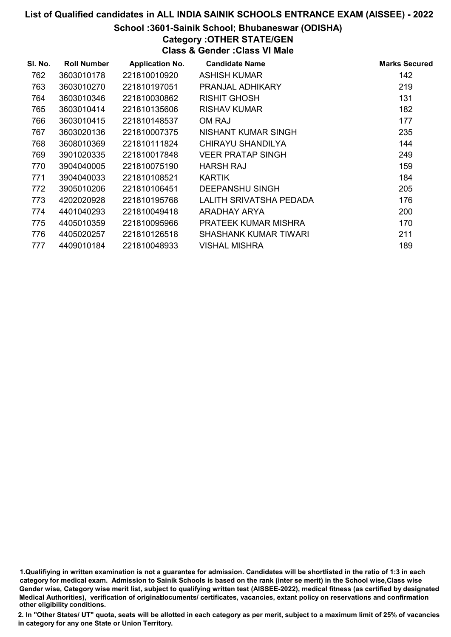## School :3601-Sainik School; Bhubaneswar (ODISHA)

# Category :OTHER STATE/GEN

Class & Gender :Class VI Male

| SI. No. | <b>Roll Number</b> | <b>Application No.</b> | <b>Candidate Name</b>    | <b>Marks Secured</b> |
|---------|--------------------|------------------------|--------------------------|----------------------|
| 762     | 3603010178         | 221810010920           | <b>ASHISH KUMAR</b>      | 142                  |
| 763     | 3603010270         | 221810197051           | PRANJAL ADHIKARY         | 219                  |
| 764     | 3603010346         | 221810030862           | <b>RISHIT GHOSH</b>      | 131                  |
| 765     | 3603010414         | 221810135606           | <b>RISHAV KUMAR</b>      | 182                  |
| 766     | 3603010415         | 221810148537           | OM RAJ                   | 177                  |
| 767     | 3603020136         | 221810007375           | NISHANT KUMAR SINGH      | 235                  |
| 768     | 3608010369         | 221810111824           | CHIRAYU SHANDILYA        | 144                  |
| 769     | 3901020335         | 221810017848           | <b>VEER PRATAP SINGH</b> | 249                  |
| 770     | 3904040005         | 221810075190           | HARSH RAJ                | 159                  |
| 771     | 3904040033         | 221810108521           | <b>KARTIK</b>            | 184                  |
| 772     | 3905010206         | 221810106451           | <b>DEEPANSHU SINGH</b>   | 205                  |
| 773     | 4202020928         | 221810195768           | LALITH SRIVATSHA PEDADA  | 176                  |
| 774     | 4401040293         | 221810049418           | ARADHAY ARYA             | 200                  |
| 775     | 4405010359         | 221810095966           | PRATEEK KUMAR MISHRA     | 170                  |
| 776     | 4405020257         | 221810126518           | SHASHANK KUMAR TIWARI    | 211                  |
| 777     | 4409010184         | 221810048933           | <b>VISHAL MISHRA</b>     | 189                  |

1.Qualifiying in written examination is not a guarantee for admission. Candidates will be shortlisted in the ratio of 1:3 in each category for medical exam. Admission to Sainik Schools is based on the rank (inter se merit) in the School wise,Class wise Gender wise, Category wise merit list, subject to qualifying written test (AISSEE-2022), medical fitness (as certified by designated Medical Authorities), verification of originablocuments/ certificates, vacancies, extant policy on reservations and confirmation other eligibility conditions.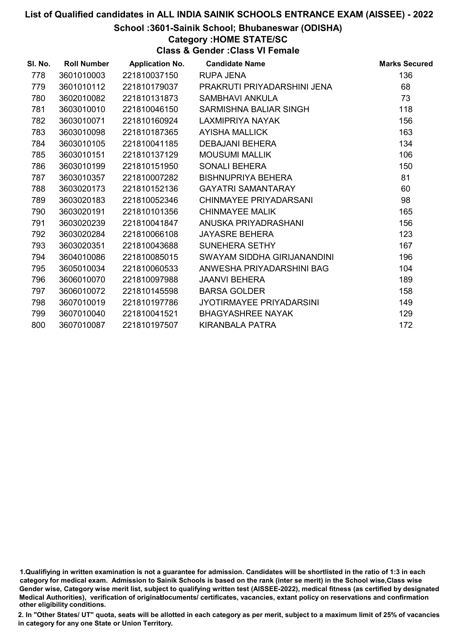### School :3601-Sainik School; Bhubaneswar (ODISHA)

Category :HOME STATE/SC

Class & Gender :Class VI Female

| SI. No. | <b>Roll Number</b> | <b>Application No.</b> | <b>Candidate Name</b>         | <b>Marks Secured</b> |
|---------|--------------------|------------------------|-------------------------------|----------------------|
| 778     | 3601010003         | 221810037150           | <b>RUPA JENA</b>              | 136                  |
| 779     | 3601010112         | 221810179037           | PRAKRUTI PRIYADARSHINI JENA   | 68                   |
| 780     | 3602010082         | 221810131873           | <b>SAMBHAVI ANKULA</b>        | 73                   |
| 781     | 3603010010         | 221810046150           | SARMISHNA BALIAR SINGH        | 118                  |
| 782     | 3603010071         | 221810160924           | <b>LAXMIPRIYA NAYAK</b>       | 156                  |
| 783     | 3603010098         | 221810187365           | AYISHA MALLICK                | 163                  |
| 784     | 3603010105         | 221810041185           | DEBAJANI BEHERA               | 134                  |
| 785     | 3603010151         | 221810137129           | <b>MOUSUMI MALLIK</b>         | 106                  |
| 786     | 3603010199         | 221810151950           | <b>SONALI BEHERA</b>          | 150                  |
| 787     | 3603010357         | 221810007282           | <b>BISHNUPRIYA BEHERA</b>     | 81                   |
| 788     | 3603020173         | 221810152136           | <b>GAYATRI SAMANTARAY</b>     | 60                   |
| 789     | 3603020183         | 221810052346           | <b>CHINMAYEE PRIYADARSANI</b> | 98                   |
| 790     | 3603020191         | 221810101356           | <b>CHINMAYEE MALIK</b>        | 165                  |
| 791     | 3603020239         | 221810041847           | ANUSKA PRIYADRASHANI          | 156                  |
| 792     | 3603020284         | 221810066108           | <b>JAYASRE BEHERA</b>         | 123                  |
| 793     | 3603020351         | 221810043688           | SUNEHERA SETHY                | 167                  |
| 794     | 3604010086         | 221810085015           | SWAYAM SIDDHA GIRIJANANDINI   | 196                  |
| 795     | 3605010034         | 221810060533           | ANWESHA PRIYADARSHINI BAG     | 104                  |
| 796     | 3606010070         | 221810097988           | <b>JAANVI BEHERA</b>          | 189                  |
| 797     | 3606010072         | 221810145598           | <b>BARSA GOLDER</b>           | 158                  |
| 798     | 3607010019         | 221810197786           | JYOTIRMAYEE PRIYADARSINI      | 149                  |
| 799     | 3607010040         | 221810041521           | <b>BHAGYASHREE NAYAK</b>      | 129                  |
| 800     | 3607010087         | 221810197507           | KIRANBALA PATRA               | 172                  |

<sup>1.</sup>Qualifiying in written examination is not a guarantee for admission. Candidates will be shortlisted in the ratio of 1:3 in each category for medical exam. Admission to Sainik Schools is based on the rank (inter se merit) in the School wise,Class wise Gender wise, Category wise merit list, subject to qualifying written test (AISSEE-2022), medical fitness (as certified by designated Medical Authorities), verification of originablocuments/ certificates, vacancies, extant policy on reservations and confirmation other eligibility conditions.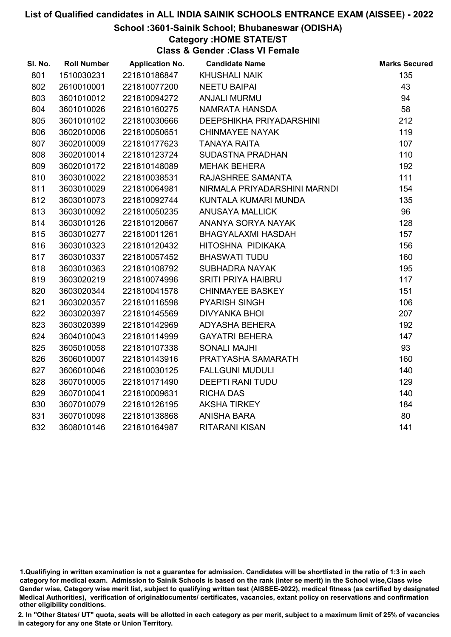### School :3601-Sainik School; Bhubaneswar (ODISHA)

#### Category :HOME STATE/ST

Class & Gender :Class VI Female

| SI. No. | <b>Roll Number</b> | <b>Application No.</b> | <b>Candidate Name</b>           | <b>Marks Secured</b> |
|---------|--------------------|------------------------|---------------------------------|----------------------|
| 801     | 1510030231         | 221810186847           | <b>KHUSHALI NAIK</b>            | 135                  |
| 802     | 2610010001         | 221810077200           | <b>NEETU BAIPAI</b>             | 43                   |
| 803     | 3601010012         | 221810094272           | <b>ANJALI MURMU</b>             | 94                   |
| 804     | 3601010026         | 221810160275           | NAMRATA HANSDA                  | 58                   |
| 805     | 3601010102         | 221810030666           | <b>DEEPSHIKHA PRIYADARSHINI</b> | 212                  |
| 806     | 3602010006         | 221810050651           | <b>CHINMAYEE NAYAK</b>          | 119                  |
| 807     | 3602010009         | 221810177623           | <b>TANAYA RAITA</b>             | 107                  |
| 808     | 3602010014         | 221810123724           | SUDASTNA PRADHAN                | 110                  |
| 809     | 3602010172         | 221810148089           | <b>MEHAK BEHERA</b>             | 192                  |
| 810     | 3603010022         | 221810038531           | RAJASHREE SAMANTA               | 111                  |
| 811     | 3603010029         | 221810064981           | NIRMALA PRIYADARSHINI MARNDI    | 154                  |
| 812     | 3603010073         | 221810092744           | KUNTALA KUMARI MUNDA            | 135                  |
| 813     | 3603010092         | 221810050235           | <b>ANUSAYA MALLICK</b>          | 96                   |
| 814     | 3603010126         | 221810120667           | ANANYA SORYA NAYAK              | 128                  |
| 815     | 3603010277         | 221810011261           | <b>BHAGYALAXMI HASDAH</b>       | 157                  |
| 816     | 3603010323         | 221810120432           | HITOSHNA PIDIKAKA               | 156                  |
| 817     | 3603010337         | 221810057452           | <b>BHASWATI TUDU</b>            | 160                  |
| 818     | 3603010363         | 221810108792           | SUBHADRA NAYAK                  | 195                  |
| 819     | 3603020219         | 221810074996           | <b>SRITI PRIYA HAIBRU</b>       | 117                  |
| 820     | 3603020344         | 221810041578           | <b>CHINMAYEE BASKEY</b>         | 151                  |
| 821     | 3603020357         | 221810116598           | <b>PYARISH SINGH</b>            | 106                  |
| 822     | 3603020397         | 221810145569           | <b>DIVYANKA BHOI</b>            | 207                  |
| 823     | 3603020399         | 221810142969           | ADYASHA BEHERA                  | 192                  |
| 824     | 3604010043         | 221810114999           | <b>GAYATRI BEHERA</b>           | 147                  |
| 825     | 3605010058         | 221810107338           | <b>SONALI MAJHI</b>             | 93                   |
| 826     | 3606010007         | 221810143916           | PRATYASHA SAMARATH              | 160                  |
| 827     | 3606010046         | 221810030125           | <b>FALLGUNI MUDULI</b>          | 140                  |
| 828     | 3607010005         | 221810171490           | <b>DEEPTI RANI TUDU</b>         | 129                  |
| 829     | 3607010041         | 221810009631           | <b>RICHA DAS</b>                | 140                  |
| 830     | 3607010079         | 221810126195           | <b>AKSHA TIRKEY</b>             | 184                  |
| 831     | 3607010098         | 221810138868           | <b>ANISHA BARA</b>              | 80                   |
| 832     | 3608010146         | 221810164987           | <b>RITARANI KISAN</b>           | 141                  |

<sup>1.</sup>Qualifiying in written examination is not a guarantee for admission. Candidates will be shortlisted in the ratio of 1:3 in each category for medical exam. Admission to Sainik Schools is based on the rank (inter se merit) in the School wise,Class wise Gender wise, Category wise merit list, subject to qualifying written test (AISSEE-2022), medical fitness (as certified by designated Medical Authorities), verification of originablocuments/ certificates, vacancies, extant policy on reservations and confirmation other eligibility conditions.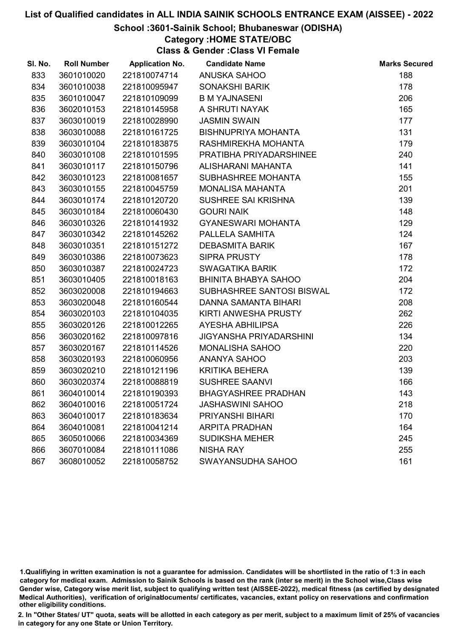## School :3601-Sainik School; Bhubaneswar (ODISHA)

## Category :HOME STATE/OBC

Class & Gender :Class VI Female

| SI. No. | <b>Roll Number</b> | <b>Application No.</b> | <b>Candidate Name</b>          | <b>Marks Secured</b> |
|---------|--------------------|------------------------|--------------------------------|----------------------|
| 833     | 3601010020         | 221810074714           | ANUSKA SAHOO                   | 188                  |
| 834     | 3601010038         | 221810095947           | <b>SONAKSHI BARIK</b>          | 178                  |
| 835     | 3601010047         | 221810109099           | <b>B M YAJNASENI</b>           | 206                  |
| 836     | 3602010153         | 221810145958           | A SHRUTI NAYAK                 | 165                  |
| 837     | 3603010019         | 221810028990           | <b>JASMIN SWAIN</b>            | 177                  |
| 838     | 3603010088         | 221810161725           | <b>BISHNUPRIYA MOHANTA</b>     | 131                  |
| 839     | 3603010104         | 221810183875           | RASHMIREKHA MOHANTA            | 179                  |
| 840     | 3603010108         | 221810101595           | PRATIBHA PRIYADARSHINEE        | 240                  |
| 841     | 3603010117         | 221810150796           | ALISHARANI MAHANTA             | 141                  |
| 842     | 3603010123         | 221810081657           | SUBHASHREE MOHANTA             | 155                  |
| 843     | 3603010155         | 221810045759           | <b>MONALISA MAHANTA</b>        | 201                  |
| 844     | 3603010174         | 221810120720           | SUSHREE SAI KRISHNA            | 139                  |
| 845     | 3603010184         | 221810060430           | <b>GOURI NAIK</b>              | 148                  |
| 846     | 3603010326         | 221810141932           | <b>GYANESWARI MOHANTA</b>      | 129                  |
| 847     | 3603010342         | 221810145262           | PALLELA SAMHITA                | 124                  |
| 848     | 3603010351         | 221810151272           | <b>DEBASMITA BARIK</b>         | 167                  |
| 849     | 3603010386         | 221810073623           | <b>SIPRA PRUSTY</b>            | 178                  |
| 850     | 3603010387         | 221810024723           | <b>SWAGATIKA BARIK</b>         | 172                  |
| 851     | 3603010405         | 221810018163           | BHINITA BHABYA SAHOO           | 204                  |
| 852     | 3603020008         | 221810194663           | SUBHASHREE SANTOSI BISWAL      | 172                  |
| 853     | 3603020048         | 221810160544           | DANNA SAMANTA BIHARI           | 208                  |
| 854     | 3603020103         | 221810104035           | KIRTI ANWESHA PRUSTY           | 262                  |
| 855     | 3603020126         | 221810012265           | <b>AYESHA ABHILIPSA</b>        | 226                  |
| 856     | 3603020162         | 221810097816           | <b>JIGYANSHA PRIYADARSHINI</b> | 134                  |
| 857     | 3603020167         | 221810114526           | MONALISHA SAHOO                | 220                  |
| 858     | 3603020193         | 221810060956           | ANANYA SAHOO                   | 203                  |
| 859     | 3603020210         | 221810121196           | <b>KRITIKA BEHERA</b>          | 139                  |
| 860     | 3603020374         | 221810088819           | <b>SUSHREE SAANVI</b>          | 166                  |
| 861     | 3604010014         | 221810190393           | <b>BHAGYASHREE PRADHAN</b>     | 143                  |
| 862     | 3604010016         | 221810051724           | <b>JASHASWINI SAHOO</b>        | 218                  |
| 863     | 3604010017         | 221810183634           | PRIYANSHI BIHARI               | 170                  |
| 864     | 3604010081         | 221810041214           | <b>ARPITA PRADHAN</b>          | 164                  |
| 865     | 3605010066         | 221810034369           | <b>SUDIKSHA MEHER</b>          | 245                  |
| 866     | 3607010084         | 221810111086           | <b>NISHA RAY</b>               | 255                  |
| 867     | 3608010052         | 221810058752           | SWAYANSUDHA SAHOO              | 161                  |

<sup>1.</sup>Qualifiying in written examination is not a guarantee for admission. Candidates will be shortlisted in the ratio of 1:3 in each category for medical exam. Admission to Sainik Schools is based on the rank (inter se merit) in the School wise,Class wise Gender wise, Category wise merit list, subject to qualifying written test (AISSEE-2022), medical fitness (as certified by designated Medical Authorities), verification of originablocuments/ certificates, vacancies, extant policy on reservations and confirmation other eligibility conditions.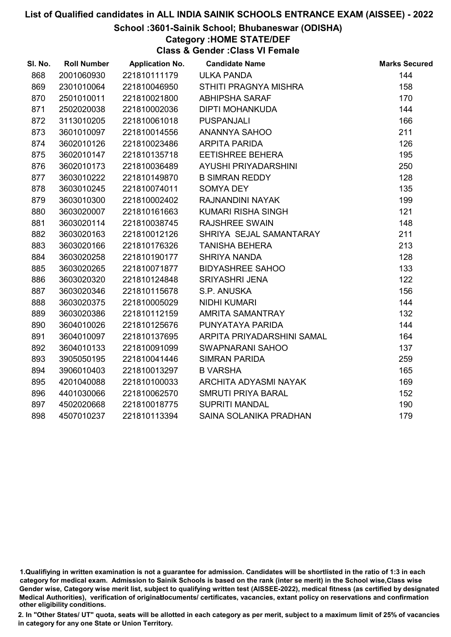### School :3601-Sainik School; Bhubaneswar (ODISHA)

## Category :HOME STATE/DEF

Class & Gender :Class VI Female

| SI. No. | <b>Roll Number</b> | <b>Application No.</b> | <b>Candidate Name</b>      | <b>Marks Secured</b> |
|---------|--------------------|------------------------|----------------------------|----------------------|
| 868     | 2001060930         | 221810111179           | <b>ULKA PANDA</b>          | 144                  |
| 869     | 2301010064         | 221810046950           | STHITI PRAGNYA MISHRA      | 158                  |
| 870     | 2501010011         | 221810021800           | <b>ABHIPSHA SARAF</b>      | 170                  |
| 871     | 2502020038         | 221810002036           | <b>DIPTI MOHANKUDA</b>     | 144                  |
| 872     | 3113010205         | 221810061018           | <b>PUSPANJALI</b>          | 166                  |
| 873     | 3601010097         | 221810014556           | ANANNYA SAHOO              | 211                  |
| 874     | 3602010126         | 221810023486           | <b>ARPITA PARIDA</b>       | 126                  |
| 875     | 3602010147         | 221810135718           | <b>EETISHREE BEHERA</b>    | 195                  |
| 876     | 3602010173         | 221810036489           | AYUSHI PRIYADARSHINI       | 250                  |
| 877     | 3603010222         | 221810149870           | <b>B SIMRAN REDDY</b>      | 128                  |
| 878     | 3603010245         | 221810074011           | <b>SOMYA DEY</b>           | 135                  |
| 879     | 3603010300         | 221810002402           | RAJNANDINI NAYAK           | 199                  |
| 880     | 3603020007         | 221810161663           | KUMARI RISHA SINGH         | 121                  |
| 881     | 3603020114         | 221810038745           | <b>RAJSHREE SWAIN</b>      | 148                  |
| 882     | 3603020163         | 221810012126           | SHRIYA SEJAL SAMANTARAY    | 211                  |
| 883     | 3603020166         | 221810176326           | <b>TANISHA BEHERA</b>      | 213                  |
| 884     | 3603020258         | 221810190177           | <b>SHRIYA NANDA</b>        | 128                  |
| 885     | 3603020265         | 221810071877           | <b>BIDYASHREE SAHOO</b>    | 133                  |
| 886     | 3603020320         | 221810124848           | <b>SRIYASHRI JENA</b>      | 122                  |
| 887     | 3603020346         | 221810115678           | S.P. ANUSKA                | 156                  |
| 888     | 3603020375         | 221810005029           | NIDHI KUMARI               | 144                  |
| 889     | 3603020386         | 221810112159           | AMRITA SAMANTRAY           | 132                  |
| 890     | 3604010026         | 221810125676           | PUNYATAYA PARIDA           | 144                  |
| 891     | 3604010097         | 221810137695           | ARPITA PRIYADARSHINI SAMAL | 164                  |
| 892     | 3604010133         | 221810091099           | SWAPNARANI SAHOO           | 137                  |
| 893     | 3905050195         | 221810041446           | <b>SIMRAN PARIDA</b>       | 259                  |
| 894     | 3906010403         | 221810013297           | <b>B VARSHA</b>            | 165                  |
| 895     | 4201040088         | 221810100033           | ARCHITA ADYASMI NAYAK      | 169                  |
| 896     | 4401030066         | 221810062570           | <b>SMRUTI PRIYA BARAL</b>  | 152                  |
| 897     | 4502020668         | 221810018775           | <b>SUPRITI MANDAL</b>      | 190                  |
| 898     | 4507010237         | 221810113394           | SAINA SOLANIKA PRADHAN     | 179                  |
|         |                    |                        |                            |                      |

<sup>1.</sup>Qualifiying in written examination is not a guarantee for admission. Candidates will be shortlisted in the ratio of 1:3 in each category for medical exam. Admission to Sainik Schools is based on the rank (inter se merit) in the School wise,Class wise Gender wise, Category wise merit list, subject to qualifying written test (AISSEE-2022), medical fitness (as certified by designated Medical Authorities), verification of originablocuments/ certificates, vacancies, extant policy on reservations and confirmation other eligibility conditions.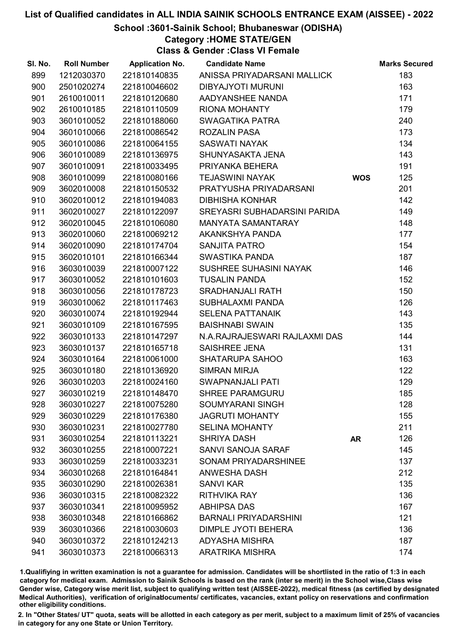School :3601-Sainik School; Bhubaneswar (ODISHA)

Category :HOME STATE/GEN

Class & Gender :Class VI Female

| SI. No. | <b>Roll Number</b> | <b>Application No.</b> | <b>Candidate Name</b>         |            | <b>Marks Secured</b> |
|---------|--------------------|------------------------|-------------------------------|------------|----------------------|
| 899     | 1212030370         | 221810140835           | ANISSA PRIYADARSANI MALLICK   |            | 183                  |
| 900     | 2501020274         | 221810046602           | <b>DIBYAJYOTI MURUNI</b>      |            | 163                  |
| 901     | 2610010011         | 221810120680           | AADYANSHEE NANDA              |            | 171                  |
| 902     | 2610010185         | 221810110509           | <b>RIONA MOHANTY</b>          |            | 179                  |
| 903     | 3601010052         | 221810188060           | SWAGATIKA PATRA               |            | 240                  |
| 904     | 3601010066         | 221810086542           | <b>ROZALIN PASA</b>           |            | 173                  |
| 905     | 3601010086         | 221810064155           | <b>SASWATI NAYAK</b>          |            | 134                  |
| 906     | 3601010089         | 221810136975           | SHUNYASAKTA JENA              |            | 143                  |
| 907     | 3601010091         | 221810033495           | PRIYANKA BEHERA               |            | 191                  |
| 908     | 3601010099         | 221810080166           | <b>TEJASWINI NAYAK</b>        | <b>WOS</b> | 125                  |
| 909     | 3602010008         | 221810150532           | PRATYUSHA PRIYADARSANI        |            | 201                  |
| 910     | 3602010012         | 221810194083           | <b>DIBHISHA KONHAR</b>        |            | 142                  |
| 911     | 3602010027         | 221810122097           | SREYASRI SUBHADARSINI PARIDA  |            | 149                  |
| 912     | 3602010045         | 221810106080           | <b>MANYATA SAMANTARAY</b>     |            | 148                  |
| 913     | 3602010060         | 221810069212           | AKANKSHYA PANDA               |            | 177                  |
| 914     | 3602010090         | 221810174704           | <b>SANJITA PATRO</b>          |            | 154                  |
| 915     | 3602010101         | 221810166344           | SWASTIKA PANDA                |            | 187                  |
| 916     | 3603010039         | 221810007122           | <b>SUSHREE SUHASINI NAYAK</b> |            | 146                  |
| 917     | 3603010052         | 221810101603           | <b>TUSALIN PANDA</b>          |            | 152                  |
| 918     | 3603010056         | 221810178723           | <b>SRADHANJALI RATH</b>       |            | 150                  |
| 919     | 3603010062         | 221810117463           | SUBHALAXMI PANDA              |            | 126                  |
| 920     | 3603010074         | 221810192944           | <b>SELENA PATTANAIK</b>       |            | 143                  |
| 921     | 3603010109         | 221810167595           | <b>BAISHNABI SWAIN</b>        |            | 135                  |
| 922     | 3603010133         | 221810147297           | N.A.RAJRAJESWARI RAJLAXMI DAS |            | 144                  |
| 923     | 3603010137         | 221810165718           | <b>SAISHREE JENA</b>          |            | 131                  |
| 924     | 3603010164         | 221810061000           | <b>SHATARUPA SAHOO</b>        |            | 163                  |
| 925     | 3603010180         | 221810136920           | <b>SIMRAN MIRJA</b>           |            | 122                  |
| 926     | 3603010203         | 221810024160           | SWAPNANJALI PATI              |            | 129                  |
| 927     | 3603010219         | 221810148470           | <b>SHREE PARAMGURU</b>        |            | 185                  |
| 928     | 3603010227         | 221810075280           | <b>SOUMYARANI SINGH</b>       |            | 128                  |
| 929     | 3603010229         | 221810176380           | <b>JAGRUTI MOHANTY</b>        |            | 155                  |
| 930     | 3603010231         | 221810027780           | <b>SELINA MOHANTY</b>         |            | 211                  |
| 931     | 3603010254         | 221810113221           | <b>SHRIYA DASH</b>            | <b>AR</b>  | 126                  |
| 932     | 3603010255         | 221810007221           | <b>SANVI SANOJA SARAF</b>     |            | 145                  |
| 933     | 3603010259         | 221810033231           | SONAM PRIYADARSHINEE          |            | 137                  |
| 934     | 3603010268         | 221810164841           | <b>ANWESHA DASH</b>           |            | 212                  |
| 935     | 3603010290         | 221810026381           | <b>SANVI KAR</b>              |            | 135                  |
| 936     | 3603010315         | 221810082322           | <b>RITHVIKA RAY</b>           |            | 136                  |
| 937     | 3603010341         | 221810095952           | <b>ABHIPSA DAS</b>            |            | 167                  |
| 938     | 3603010348         | 221810166862           | <b>BARNALI PRIYADARSHINI</b>  |            | 121                  |
| 939     | 3603010366         | 221810030603           | <b>DIMPLE JYOTI BEHERA</b>    |            | 136                  |
| 940     | 3603010372         | 221810124213           | <b>ADYASHA MISHRA</b>         |            | 187                  |
| 941     | 3603010373         | 221810066313           | <b>ARATRIKA MISHRA</b>        |            | 174                  |

1.Qualifiying in written examination is not a guarantee for admission. Candidates will be shortlisted in the ratio of 1:3 in each category for medical exam. Admission to Sainik Schools is based on the rank (inter se merit) in the School wise,Class wise Gender wise, Category wise merit list, subject to qualifying written test (AISSEE-2022), medical fitness (as certified by designated Medical Authorities), verification of originablocuments/ certificates, vacancies, extant policy on reservations and confirmation other eligibility conditions.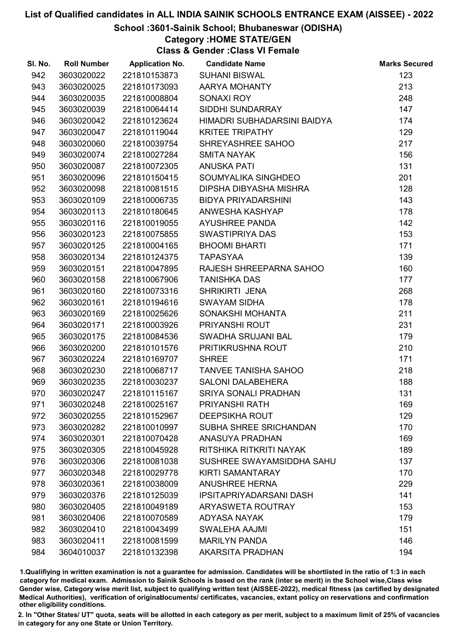## School :3601-Sainik School; Bhubaneswar (ODISHA)

# Category :HOME STATE/GEN

Class & Gender :Class VI Female

| SI. No. | <b>Roll Number</b> | <b>Application No.</b> | <b>Candidate Name</b>          | <b>Marks Secured</b> |
|---------|--------------------|------------------------|--------------------------------|----------------------|
| 942     | 3603020022         | 221810153873           | <b>SUHANI BISWAL</b>           | 123                  |
| 943     | 3603020025         | 221810173093           | AARYA MOHANTY                  | 213                  |
| 944     | 3603020035         | 221810008804           | SONAXI ROY                     | 248                  |
| 945     | 3603020039         | 221810064414           | SIDDHI SUNDARRAY               | 147                  |
| 946     | 3603020042         | 221810123624           | HIMADRI SUBHADARSINI BAIDYA    | 174                  |
| 947     | 3603020047         | 221810119044           | <b>KRITEE TRIPATHY</b>         | 129                  |
| 948     | 3603020060         | 221810039754           | SHREYASHREE SAHOO              | 217                  |
| 949     | 3603020074         | 221810027284           | <b>SMITA NAYAK</b>             | 156                  |
| 950     | 3603020087         | 221810072305           | <b>ANUSKA PATI</b>             | 131                  |
| 951     | 3603020096         | 221810150415           | SOUMYALIKA SINGHDEO            | 201                  |
| 952     | 3603020098         | 221810081515           | DIPSHA DIBYASHA MISHRA         | 128                  |
| 953     | 3603020109         | 221810006735           | <b>BIDYA PRIYADARSHINI</b>     | 143                  |
| 954     | 3603020113         | 221810180645           | ANWESHA KASHYAP                | 178                  |
| 955     | 3603020116         | 221810019055           | <b>AYUSHREE PANDA</b>          | 142                  |
| 956     | 3603020123         | 221810075855           | SWASTIPRIYA DAS                | 153                  |
| 957     | 3603020125         | 221810004165           | <b>BHOOMI BHARTI</b>           | 171                  |
| 958     | 3603020134         | 221810124375           | <b>TAPASYAA</b>                | 139                  |
| 959     | 3603020151         | 221810047895           | RAJESH SHREEPARNA SAHOO        | 160                  |
| 960     | 3603020158         | 221810067906           | <b>TANISHKA DAS</b>            | 177                  |
| 961     | 3603020160         | 221810073316           | SHRIKIRTI JENA                 | 268                  |
| 962     | 3603020161         | 221810194616           | <b>SWAYAM SIDHA</b>            | 178                  |
| 963     | 3603020169         | 221810025626           | SONAKSHI MOHANTA               | 211                  |
| 964     | 3603020171         | 221810003926           | PRIYANSHI ROUT                 | 231                  |
| 965     | 3603020175         | 221810084536           | SWADHA SRUJANI BAL             | 179                  |
| 966     | 3603020200         | 221810101576           | PRITIKRUSHNA ROUT              | 210                  |
| 967     | 3603020224         | 221810169707           | <b>SHREE</b>                   | 171                  |
| 968     | 3603020230         | 221810068717           | <b>TANVEE TANISHA SAHOO</b>    | 218                  |
| 969     | 3603020235         | 221810030237           | <b>SALONI DALABEHERA</b>       | 188                  |
| 970     | 3603020247         | 221810115167           | <b>SRIYA SONALI PRADHAN</b>    | 131                  |
| 971     | 3603020248         | 221810025167           | PRIYANSHI RATH                 | 169                  |
| 972     | 3603020255         | 221810152967           | <b>DEEPSIKHA ROUT</b>          | 129                  |
| 973     | 3603020282         | 221810010997           | SUBHA SHREE SRICHANDAN         | 170                  |
| 974     | 3603020301         | 221810070428           | <b>ANASUYA PRADHAN</b>         | 169                  |
| 975     | 3603020305         | 221810045928           | RITSHIKA RITKRITI NAYAK        | 189                  |
| 976     | 3603020306         | 221810081038           | SUSHREE SWAYAMSIDDHA SAHU      | 137                  |
| 977     | 3603020348         | 221810029778           | <b>KIRTI SAMANTARAY</b>        | 170                  |
| 978     | 3603020361         | 221810038009           | <b>ANUSHREE HERNA</b>          | 229                  |
| 979     | 3603020376         | 221810125039           | <b>IPSITAPRIYADARSANI DASH</b> | 141                  |
| 980     | 3603020405         | 221810049189           | ARYASWETA ROUTRAY              | 153                  |
| 981     | 3603020406         | 221810070589           | ADYASA NAYAK                   | 179                  |
| 982     | 3603020410         | 221810043499           | <b>SWALEHA AAJMI</b>           | 151                  |
| 983     | 3603020411         | 221810081599           | <b>MARILYN PANDA</b>           | 146                  |
| 984     | 3604010037         | 221810132398           | <b>AKARSITA PRADHAN</b>        | 194                  |

1.Qualifiying in written examination is not a guarantee for admission. Candidates will be shortlisted in the ratio of 1:3 in each category for medical exam. Admission to Sainik Schools is based on the rank (inter se merit) in the School wise,Class wise Gender wise, Category wise merit list, subject to qualifying written test (AISSEE-2022), medical fitness (as certified by designated Medical Authorities), verification of originablocuments/ certificates, vacancies, extant policy on reservations and confirmation other eligibility conditions.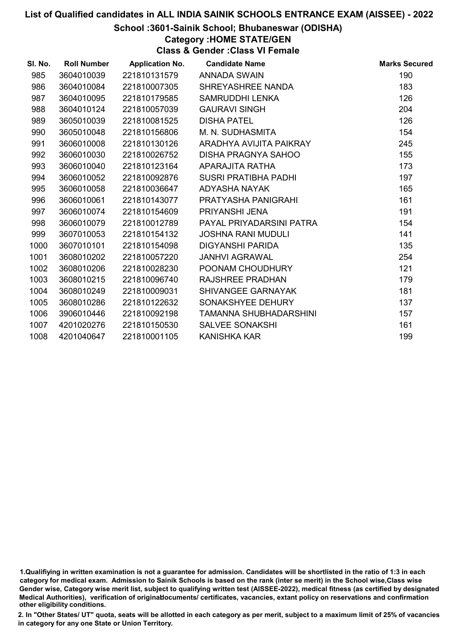## School :3601-Sainik School; Bhubaneswar (ODISHA)

## Category :HOME STATE/GEN

Class & Gender :Class VI Female

| SI. No. | <b>Roll Number</b> | <b>Application No.</b> | <b>Candidate Name</b>         | <b>Marks Secured</b> |
|---------|--------------------|------------------------|-------------------------------|----------------------|
| 985     | 3604010039         | 221810131579           | <b>ANNADA SWAIN</b>           | 190                  |
| 986     | 3604010084         | 221810007305           | SHREYASHREE NANDA             | 183                  |
| 987     | 3604010095         | 221810179585           | <b>SAMRUDDHI LENKA</b>        | 126                  |
| 988     | 3604010124         | 221810057039           | <b>GAURAVI SINGH</b>          | 204                  |
| 989     | 3605010039         | 221810081525           | <b>DISHA PATEL</b>            | 126                  |
| 990     | 3605010048         | 221810156806           | M. N. SUDHASMITA              | 154                  |
| 991     | 3606010008         | 221810130126           | ARADHYA AVIJITA PAIKRAY       | 245                  |
| 992     | 3606010030         | 221810026752           | <b>DISHA PRAGNYA SAHOO</b>    | 155                  |
| 993     | 3606010040         | 221810123164           | APARAJITA RATHA               | 173                  |
| 994     | 3606010052         | 221810092876           | <b>SUSRI PRATIBHA PADHI</b>   | 197                  |
| 995     | 3606010058         | 221810036647           | <b>ADYASHA NAYAK</b>          | 165                  |
| 996     | 3606010061         | 221810143077           | PRATYASHA PANIGRAHI           | 161                  |
| 997     | 3606010074         | 221810154609           | PRIYANSHI JENA                | 191                  |
| 998     | 3606010079         | 221810012789           | PAYAL PRIYADARSINI PATRA      | 154                  |
| 999     | 3607010053         | 221810154132           | <b>JOSHNA RANI MUDULI</b>     | 141                  |
| 1000    | 3607010101         | 221810154098           | <b>DIGYANSHI PARIDA</b>       | 135                  |
| 1001    | 3608010202         | 221810057220           | <b>JANHVI AGRAWAL</b>         | 254                  |
| 1002    | 3608010206         | 221810028230           | POONAM CHOUDHURY              | 121                  |
| 1003    | 3608010215         | 221810096740           | <b>RAJSHREE PRADHAN</b>       | 179                  |
| 1004    | 3608010249         | 221810009031           | SHIVANGEE GARNAYAK            | 181                  |
| 1005    | 3608010286         | 221810122632           | SONAKSHYEE DEHURY             | 137                  |
| 1006    | 3906010446         | 221810092198           | <b>TAMANNA SHUBHADARSHINI</b> | 157                  |
| 1007    | 4201020276         | 221810150530           | <b>SALVEE SONAKSHI</b>        | 161                  |
| 1008    | 4201040647         | 221810001105           | <b>KANISHKA KAR</b>           | 199                  |

<sup>1.</sup>Qualifiying in written examination is not a guarantee for admission. Candidates will be shortlisted in the ratio of 1:3 in each category for medical exam. Admission to Sainik Schools is based on the rank (inter se merit) in the School wise,Class wise Gender wise, Category wise merit list, subject to qualifying written test (AISSEE-2022), medical fitness (as certified by designated Medical Authorities), verification of originablocuments/ certificates, vacancies, extant policy on reservations and confirmation other eligibility conditions.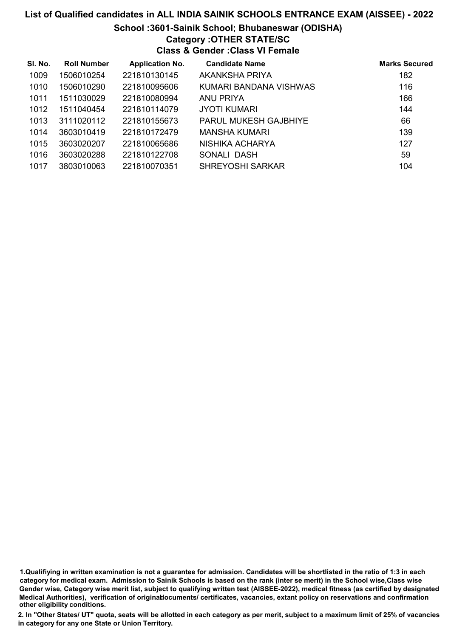## List of Qualified candidates in ALL INDIA SAINIK SCHOOLS ENTRANCE EXAM (AISSEE) - 2022 School :3601-Sainik School; Bhubaneswar (ODISHA)

# Category :OTHER STATE/SC

Class & Gender :Class VI Female

| SI. No. | <b>Roll Number</b> | <b>Application No.</b> | <b>Candidate Name</b>        | <b>Marks Secured</b> |
|---------|--------------------|------------------------|------------------------------|----------------------|
| 1009    | 1506010254         | 221810130145           | AKANKSHA PRIYA               | 182                  |
| 1010    | 1506010290         | 221810095606           | KUMARI BANDANA VISHWAS       | 116                  |
| 1011    | 1511030029         | 221810080994           | ANU PRIYA                    | 166                  |
| 1012    | 1511040454         | 221810114079           | <b>JYOTI KUMARI</b>          | 144                  |
| 1013    | 3111020112         | 221810155673           | <b>PARUL MUKESH GAJBHIYE</b> | 66                   |
| 1014    | 3603010419         | 221810172479           | MANSHA KUMARI                | 139                  |
| 1015    | 3603020207         | 221810065686           | NISHIKA ACHARYA              | 127                  |
| 1016    | 3603020288         | 221810122708           | SONALI DASH                  | 59                   |
| 1017    | 3803010063         | 221810070351           | <b>SHREYOSHI SARKAR</b>      | 104                  |

1.Qualifiying in written examination is not a guarantee for admission. Candidates will be shortlisted in the ratio of 1:3 in each category for medical exam. Admission to Sainik Schools is based on the rank (inter se merit) in the School wise,Class wise Gender wise, Category wise merit list, subject to qualifying written test (AISSEE-2022), medical fitness (as certified by designated Medical Authorities), verification of originablocuments/ certificates, vacancies, extant policy on reservations and confirmation other eligibility conditions.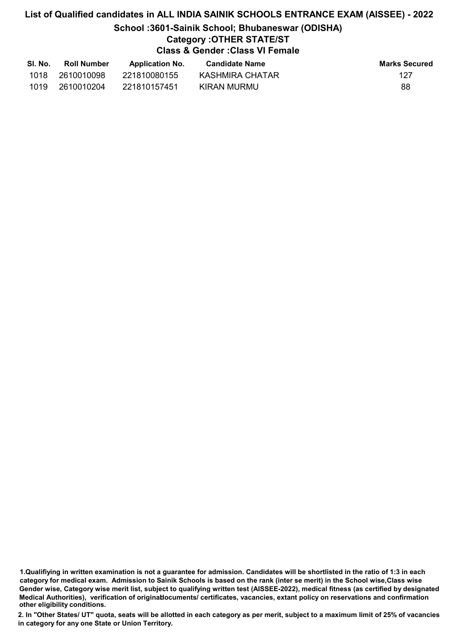## List of Qualified candidates in ALL INDIA SAINIK SCHOOLS ENTRANCE EXAM (AISSEE) - 2022 School :3601-Sainik School; Bhubaneswar (ODISHA) Category :OTHER STATE/ST Class & Gender :Class VI Female

| SI. No. | <b>Roll Number</b> | <b>Application No.</b> | <b>Candidate Name</b> | <b>Marks Secured</b> |
|---------|--------------------|------------------------|-----------------------|----------------------|
| 1018    | 2610010098         | 221810080155           | KASHMIRA CHATAR       | 127                  |
| 1019    | 2610010204         | 221810157451           | KIRAN MURMU           | 88                   |

<sup>1.</sup>Qualifiying in written examination is not a guarantee for admission. Candidates will be shortlisted in the ratio of 1:3 in each category for medical exam. Admission to Sainik Schools is based on the rank (inter se merit) in the School wise,Class wise Gender wise, Category wise merit list, subject to qualifying written test (AISSEE-2022), medical fitness (as certified by designated Medical Authorities), verification of originablocuments/ certificates, vacancies, extant policy on reservations and confirmation other eligibility conditions.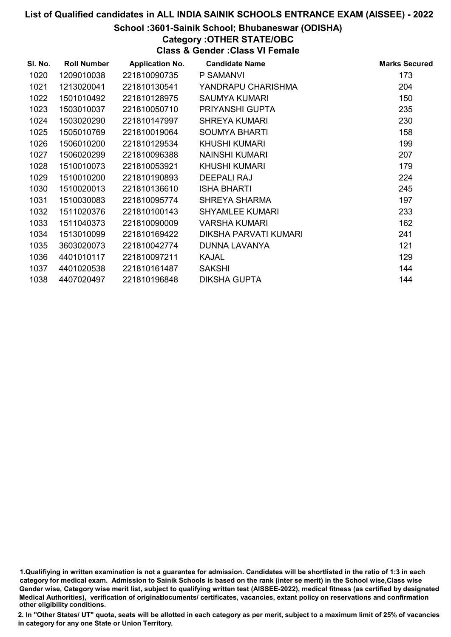## School :3601-Sainik School; Bhubaneswar (ODISHA)

## Category :OTHER STATE/OBC

Class & Gender :Class VI Female

| SI. No. | <b>Roll Number</b> | <b>Application No.</b> | <b>Candidate Name</b>  | <b>Marks Secured</b> |
|---------|--------------------|------------------------|------------------------|----------------------|
| 1020    | 1209010038         | 221810090735           | P SAMANVI              | 173                  |
| 1021    | 1213020041         | 221810130541           | YANDRAPU CHARISHMA     | 204                  |
| 1022    | 1501010492         | 221810128975           | <b>SAUMYA KUMARI</b>   | 150                  |
| 1023    | 1503010037         | 221810050710           | PRIYANSHI GUPTA        | 235                  |
| 1024    | 1503020290         | 221810147997           | SHREYA KUMARI          | 230                  |
| 1025    | 1505010769         | 221810019064           | SOUMYA BHARTI          | 158                  |
| 1026    | 1506010200         | 221810129534           | KHUSHI KUMARI          | 199                  |
| 1027    | 1506020299         | 221810096388           | NAINSHI KUMARI         | 207                  |
| 1028    | 1510010073         | 221810053921           | KHUSHI KUMARI          | 179                  |
| 1029    | 1510010200         | 221810190893           | <b>DEEPALI RAJ</b>     | 224                  |
| 1030    | 1510020013         | 221810136610           | <b>ISHA BHARTI</b>     | 245                  |
| 1031    | 1510030083         | 221810095774           | SHREYA SHARMA          | 197                  |
| 1032    | 1511020376         | 221810100143           | <b>SHYAMLEE KUMARI</b> | 233                  |
| 1033    | 1511040373         | 221810090009           | VARSHA KUMARI          | 162                  |
| 1034    | 1513010099         | 221810169422           | DIKSHA PARVATI KUMARI  | 241                  |
| 1035    | 3603020073         | 221810042774           | DUNNA LAVANYA          | 121                  |
| 1036    | 4401010117         | 221810097211           | <b>KAJAL</b>           | 129                  |
| 1037    | 4401020538         | 221810161487           | <b>SAKSHI</b>          | 144                  |
| 1038    | 4407020497         | 221810196848           | <b>DIKSHA GUPTA</b>    | 144                  |

<sup>1.</sup>Qualifiying in written examination is not a guarantee for admission. Candidates will be shortlisted in the ratio of 1:3 in each category for medical exam. Admission to Sainik Schools is based on the rank (inter se merit) in the School wise,Class wise Gender wise, Category wise merit list, subject to qualifying written test (AISSEE-2022), medical fitness (as certified by designated Medical Authorities), verification of originablocuments/ certificates, vacancies, extant policy on reservations and confirmation other eligibility conditions.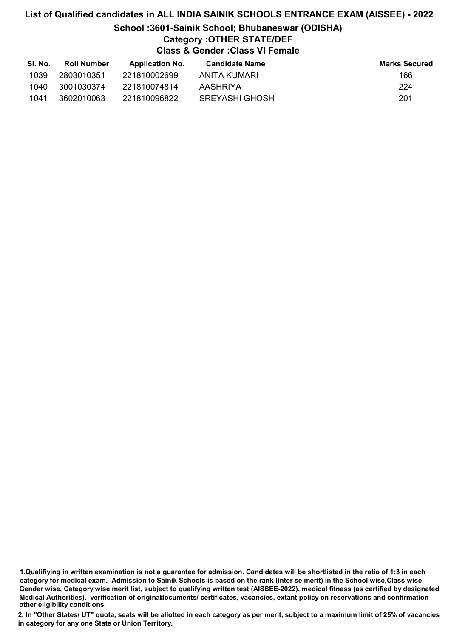## List of Qualified candidates in ALL INDIA SAINIK SCHOOLS ENTRANCE EXAM (AISSEE) - 2022 School :3601-Sainik School; Bhubaneswar (ODISHA) Category :OTHER STATE/DEF Class & Gender :Class VI Female

| SI. No. | Roll Number | <b>Application No.</b> | Candidate Name        | <b>Marks Secured</b> |
|---------|-------------|------------------------|-----------------------|----------------------|
| 1039    | 2803010351  | 221810002699           | ANITA KUMARI          | 166                  |
| 1040    | 3001030374  | 221810074814           | AASHRIYA              | 224                  |
| 1041    | 3602010063  | 221810096822           | <b>SREYASHI GHOSH</b> | 201                  |

1.Qualifiying in written examination is not a guarantee for admission. Candidates will be shortlisted in the ratio of 1:3 in each category for medical exam. Admission to Sainik Schools is based on the rank (inter se merit) in the School wise,Class wise Gender wise, Category wise merit list, subject to qualifying written test (AISSEE-2022), medical fitness (as certified by designated Medical Authorities), verification of originablocuments/ certificates, vacancies, extant policy on reservations and confirmation other eligibility conditions.